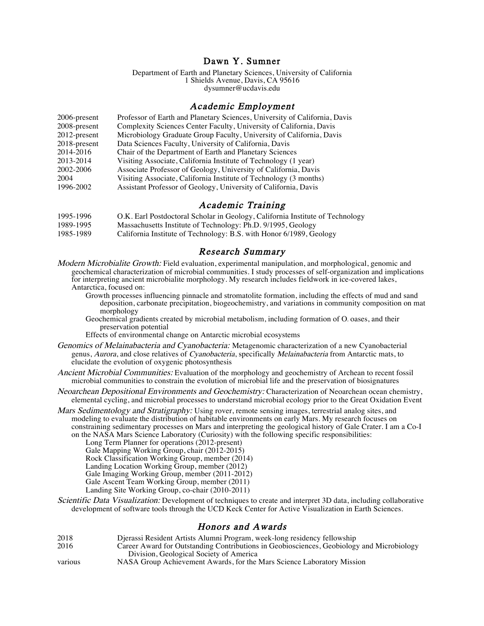# Dawn Y. Sumner

Department of Earth and Planetary Sciences, University of California 1 Shields Avenue, Davis, CA 95616 dysumner@ucdavis.edu

### Academic Employment

| 2006-present    | Professor of Earth and Planetary Sciences, University of California, Davis |
|-----------------|----------------------------------------------------------------------------|
| 2008-present    | Complexity Sciences Center Faculty, University of California, Davis        |
| 2012-present    | Microbiology Graduate Group Faculty, University of California, Davis       |
| $2018$ -present | Data Sciences Faculty, University of California, Davis                     |
| 2014-2016       | Chair of the Department of Earth and Planetary Sciences                    |
| 2013-2014       | Visiting Associate, California Institute of Technology (1 year)            |
| 2002-2006       | Associate Professor of Geology, University of California, Davis            |
| 2004            | Visiting Associate, California Institute of Technology (3 months)          |
| 1996-2002       | Assistant Professor of Geology, University of California, Davis            |
|                 |                                                                            |

## Academic Training

| 1995-1996 | O.K. Earl Postdoctoral Scholar in Geology, California Institute of Technology |
|-----------|-------------------------------------------------------------------------------|
| 1989-1995 | Massachusetts Institute of Technology: Ph.D. 9/1995, Geology                  |
| 1985-1989 | California Institute of Technology: B.S. with Honor 6/1989, Geology           |

### Research Summary

- Modern Microbialite Growth: Field evaluation, experimental manipulation, and morphological, genomic and geochemical characterization of microbial communities. I study processes of self-organization and implications for interpreting ancient microbialite morphology. My research includes fieldwork in ice-covered lakes, Antarctica, focused on:
	- Growth processes influencing pinnacle and stromatolite formation, including the effects of mud and sand deposition, carbonate precipitation, biogeochemistry, and variations in community composition on mat morphology
	- Geochemical gradients created by microbial metabolism, including formation of  $O<sub>2</sub>$  oases, and their preservation potential

Effects of environmental change on Antarctic microbial ecosystems

- Genomics of Melainabacteria and Cyanobacteria: Metagenomic characterization of a new Cyanobacterial genus, Aurora, and close relatives of Cyanobacteria, specifically Melainabacteria from Antarctic mats, to elucidate the evolution of oxygenic photosynthesis
- Ancient Microbial Communities: Evaluation of the morphology and geochemistry of Archean to recent fossil microbial communities to constrain the evolution of microbial life and the preservation of biosignatures
- Neoarchean Depositional Environments and Geochemistry: Characterization of Neoarchean ocean chemistry, elemental cycling, and microbial processes to understand microbial ecology prior to the Great Oxidation Event
- Mars Sedimentology and Stratigraphy: Using rover, remote sensing images, terrestrial analog sites, and modeling to evaluate the distribution of habitable environments on early Mars. My research focuses on constraining sedimentary processes on Mars and interpreting the geological history of Gale Crater. I am a Co-I on the NASA Mars Science Laboratory (Curiosity) with the following specific responsibilities:

Long Term Planner for operations (2012-present) Gale Mapping Working Group, chair (2012-2015) Rock Classification Working Group, member (2014)

- Landing Location Working Group, member (2012)
- Gale Imaging Working Group, member (2011-2012)

Gale Ascent Team Working Group, member (2011)

- Landing Site Working Group, co-chair (2010-2011)
- Scientific Data Visualization: Development of techniques to create and interpret 3D data, including collaborative development of software tools through the UCD Keck Center for Active Visualization in Earth Sciences.

# Honors and Awards

| 2018    | Djerassi Resident Artists Alumni Program, week-long residency fellowship                  |
|---------|-------------------------------------------------------------------------------------------|
| 2016    | Career Award for Outstanding Contributions in Geobiosciences, Geobiology and Microbiology |
|         | Division, Geological Society of America                                                   |
| various | NASA Group Achievement Awards, for the Mars Science Laboratory Mission                    |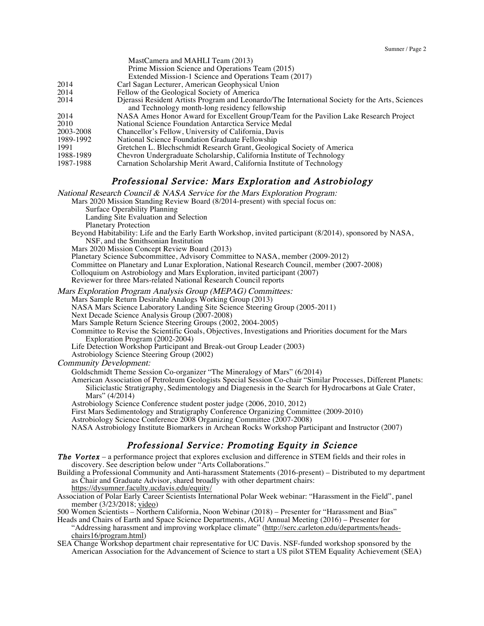|           | $\mu$ asteannola and iversity is really (2019)                                                  |
|-----------|-------------------------------------------------------------------------------------------------|
|           | Prime Mission Science and Operations Team (2015)                                                |
|           | Extended Mission-1 Science and Operations Team (2017)                                           |
| 2014      | Carl Sagan Lecturer, American Geophysical Union                                                 |
| 2014      | Fellow of the Geological Society of America                                                     |
| 2014      | Dierassi Resident Artists Program and Leonardo/The International Society for the Arts, Sciences |
|           | and Technology month-long residency fellowship                                                  |
| 2014      | NASA Ames Honor Award for Excellent Group/Team for the Pavilion Lake Research Project           |
| 2010      | National Science Foundation Antarctica Service Medal                                            |
| 2003-2008 | Chancellor's Fellow, University of California, Davis                                            |
| 1989-1992 | National Science Foundation Graduate Fellowship                                                 |
| 1991      | Gretchen L. Blechschmidt Research Grant, Geological Society of America                          |
| 1988-1989 | Chevron Undergraduate Scholarship, California Institute of Technology                           |
| 1987-1988 | Carnation Scholarship Merit Award, California Institute of Technology                           |
|           |                                                                                                 |

# Professional Service: Mars Exploration and Astrobiology

National Research Council & NASA Service for the Mars Exploration Program:

 $M_{\odot}$  Camera and MAHI I Team (2012)

Mars 2020 Mission Standing Review Board (8/2014-present) with special focus on:

Surface Operability Planning

Landing Site Evaluation and Selection

Planetary Protection

Beyond Habitability: Life and the Early Earth Workshop, invited participant (8/2014), sponsored by NASA, NSF, and the Smithsonian Institution

Mars 2020 Mission Concept Review Board (2013)

Planetary Science Subcommittee, Advisory Committee to NASA, member (2009-2012)

Committee on Planetary and Lunar Exploration, National Research Council, member (2007-2008)

Colloquium on Astrobiology and Mars Exploration, invited participant (2007)

Reviewer for three Mars-related National Research Council reports

Mars Exploration Program Analysis Group (MEPAG) Committees:

Mars Sample Return Desirable Analogs Working Group (2013)

NASA Mars Science Laboratory Landing Site Science Steering Group (2005-2011)

Next Decade Science Analysis Group (2007-2008)

Mars Sample Return Science Steering Groups (2002, 2004-2005)

Committee to Revise the Scientific Goals, Objectives, Investigations and Priorities document for the Mars Exploration Program (2002-2004)

Life Detection Workshop Participant and Break-out Group Leader (2003)

Astrobiology Science Steering Group (2002)

Community Development:

Goldschmidt Theme Session Co-organizer "The Mineralogy of Mars" (6/2014)

American Association of Petroleum Geologists Special Session Co-chair "Similar Processes, Different Planets: Siliciclastic Stratigraphy, Sedimentology and Diagenesis in the Search for Hydrocarbons at Gale Crater, Mars" (4/2014)

Astrobiology Science Conference student poster judge (2006, 2010, 2012)

First Mars Sedimentology and Stratigraphy Conference Organizing Committee (2009-2010)

Astrobiology Science Conference 2008 Organizing Committee (2007-2008)

NASA Astrobiology Institute Biomarkers in Archean Rocks Workshop Participant and Instructor (2007)

# Professional Service: Promoting Equity in Science

**The Vortex** – a performance project that explores exclusion and difference in STEM fields and their roles in discovery. See description below under "Arts Collaborations."

Building a Professional Community and Anti-harassment Statements (2016-present) – Distributed to my department as Chair and Graduate Advisor, shared broadly with other department chairs:

https://dysumner.faculty.ucdavis.edu/equity/

Association of Polar Early Career Scientists International Polar Week webinar: "Harassment in the Field", panel member (3/23/2018; video)

500 Women Scientists – Northern California, Noon Webinar (2018) – Presenter for "Harassment and Bias"

Heads and Chairs of Earth and Space Science Departments, AGU Annual Meeting (2016) – Presenter for "Addressing harassment and improving workplace climate" (http://serc.carleton.edu/departments/headschairs16/program.html)

SEA Change Workshop department chair representative for UC Davis. NSF-funded workshop sponsored by the American Association for the Advancement of Science to start a US pilot STEM Equality Achievement (SEA)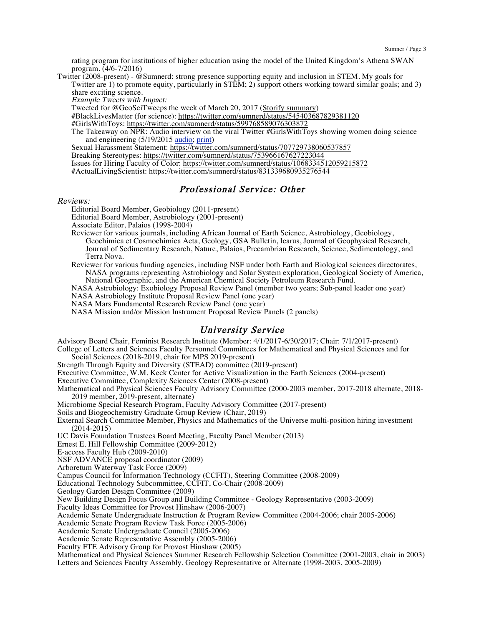rating program for institutions of higher education using the model of the United Kingdom's Athena SWAN program. (4/6-7/2016)

Twitter (2008-present) - @Sumnerd: strong presence supporting equity and inclusion in STEM. My goals for Twitter are 1) to promote equity, particularly in STEM; 2) support others working toward similar goals; and 3) share exciting science.

Example Tweets with Impact:

Tweeted for @GeoSciTweeps the week of March 20, 2017 (Storify summary)

#BlackLivesMatter (for science): https://twitter.com/sumnerd/status/545403687829381120

- #GirlsWithToys: https://twitter.com/sumnerd/status/599768589076303872
- The Takeaway on NPR: Audio interview on the viral Twitter #GirlsWithToys showing women doing science and engineering (5/19/2015 audio; print)

Sexual Harassment Statement: https://twitter.com/sumnerd/status/707729738060537857

Breaking Stereotypes: https://twitter.com/sumnerd/status/753966167627223044

Issues for Hiring Faculty of Color: https://twitter.com/sumnerd/status/1068334512059215872

#ActualLivingScientist: https://twitter.com/sumnerd/status/831339680935276544

# Professional Service: Other

#### Reviews:

Editorial Board Member, Geobiology (2011-present)

Editorial Board Member, Astrobiology (2001-present)

Associate Editor, Palaios (1998-2004)

- Reviewer for various journals, including African Journal of Earth Science, Astrobiology, Geobiology, Geochimica et Cosmochimica Acta, Geology, GSA Bulletin, Icarus, Journal of Geophysical Research, Journal of Sedimentary Research, Nature, Palaios, Precambrian Research, Science, Sedimentology, and Terra Nova.
- Reviewer for various funding agencies, including NSF under both Earth and Biological sciences directorates, NASA programs representing Astrobiology and Solar System exploration, Geological Society of America, National Geographic, and the American Chemical Society Petroleum Research Fund.

NASA Astrobiology: Exobiology Proposal Review Panel (member two years; Sub-panel leader one year)

NASA Astrobiology Institute Proposal Review Panel (one year)

NASA Mars Fundamental Research Review Panel (one year)

NASA Mission and/or Mission Instrument Proposal Review Panels (2 panels)

### University Service

Advisory Board Chair, Feminist Research Institute (Member: 4/1/2017-6/30/2017; Chair: 7/1/2017-present) College of Letters and Sciences Faculty Personnel Committees for Mathematical and Physical Sciences and for Social Sciences (2018-2019, chair for MPS 2019-present)

Strength Through Equity and Diversity (STEAD) committee (2019-present)

Executive Committee, W.M. Keck Center for Active Visualization in the Earth Sciences (2004-present)

Executive Committee, Complexity Sciences Center (2008-present)

Mathematical and Physical Sciences Faculty Advisory Committee (2000-2003 member, 2017-2018 alternate, 2018- 2019 member, 2019-present, alternate)

Microbiome Special Research Program, Faculty Advisory Committee (2017-present)

Soils and Biogeochemistry Graduate Group Review (Chair, 2019)

External Search Committee Member, Physics and Mathematics of the Universe multi-position hiring investment (2014-2015)

UC Davis Foundation Trustees Board Meeting, Faculty Panel Member (2013)

Ernest E. Hill Fellowship Committee (2009-2012)

E-access Faculty Hub (2009-2010)

NSF ADVANCE proposal coordinator (2009)

Arboretum Waterway Task Force (2009)

Campus Council for Information Technology (CCFIT), Steering Committee (2008-2009)

Educational Technology Subcommittee, CCFIT, Co-Chair (2008-2009)

Geology Garden Design Committee (2009)

New Building Design Focus Group and Building Committee - Geology Representative (2003-2009)

Faculty Ideas Committee for Provost Hinshaw (2006-2007)

Academic Senate Undergraduate Instruction & Program Review Committee (2004-2006; chair 2005-2006)

Academic Senate Program Review Task Force (2005-2006)

Academic Senate Undergraduate Council (2005-2006)

Academic Senate Representative Assembly (2005-2006)

Faculty FTE Advisory Group for Provost Hinshaw (2005)

Mathematical and Physical Sciences Summer Research Fellowship Selection Committee (2001-2003, chair in 2003) Letters and Sciences Faculty Assembly, Geology Representative or Alternate (1998-2003, 2005-2009)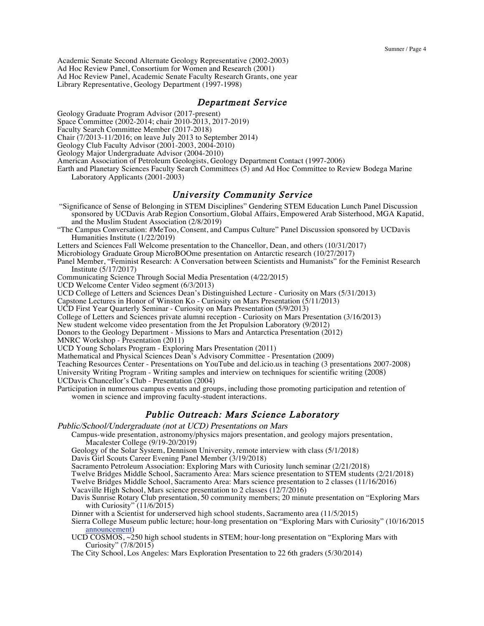Academic Senate Second Alternate Geology Representative (2002-2003) Ad Hoc Review Panel, Consortium for Women and Research (2001) Ad Hoc Review Panel, Academic Senate Faculty Research Grants, one year Library Representative, Geology Department (1997-1998)

### Department Service

Geology Graduate Program Advisor (2017-present)

Space Committee (2002-2014; chair 2010-2013, 2017-2019)

Faculty Search Committee Member (2017-2018)

Chair (7/2013-11/2016; on leave July 2013 to September 2014)

Geology Club Faculty Advisor (2001-2003, 2004-2010)

Geology Major Undergraduate Advisor (2004-2010)

American Association of Petroleum Geologists, Geology Department Contact (1997-2006)

Earth and Planetary Sciences Faculty Search Committees (5) and Ad Hoc Committee to Review Bodega Marine Laboratory Applicants (2001-2003)

### University Community Service

- "Significance of Sense of Belonging in STEM Disciplines" Gendering STEM Education Lunch Panel Discussion sponsored by UCDavis Arab Region Consortium, Global Affairs, Empowered Arab Sisterhood, MGA Kapatid, and the Muslim Student Association (2/8/2019)
- "The Campus Conversation: #MeToo, Consent, and Campus Culture" Panel Discussion sponsored by UCDavis Humanities Institute (1/22/2019)

Letters and Sciences Fall Welcome presentation to the Chancellor, Dean, and others (10/31/2017)

Microbiology Graduate Group MicroBOOme presentation on Antarctic research (10/27/2017)

Panel Member, "Feminist Research: A Conversation between Scientists and Humanists" for the Feminist Research Institute (5/17/2017)

Communicating Science Through Social Media Presentation (4/22/2015)

UCD Welcome Center Video segment (6/3/2013)

UCD College of Letters and Sciences Dean's Distinguished Lecture - Curiosity on Mars (5/31/2013)

Capstone Lectures in Honor of Winston Ko - Curiosity on Mars Presentation (5/11/2013)

UCD First Year Quarterly Seminar - Curiosity on Mars Presentation (5/9/2013)

College of Letters and Sciences private alumni reception - Curiosity on Mars Presentation (3/16/2013)

New student welcome video presentation from the Jet Propulsion Laboratory (9/2012)

Donors to the Geology Department - Missions to Mars and Antarctica Presentation (2012)

MNRC Workshop - Presentation (2011)

UCD Young Scholars Program - Exploring Mars Presentation (2011)

Mathematical and Physical Sciences Dean's Advisory Committee - Presentation (2009)

Teaching Resources Center - Presentations on YouTube and del.icio.us in teaching (3 presentations 2007-2008)

University Writing Program - Writing samples and interview on techniques for scientific writing (2008) UCDavis Chancellor's Club - Presentation (2004)

Participation in numerous campus events and groups, including those promoting participation and retention of women in science and improving faculty-student interactions.

# Public Outreach: Mars Science Laboratory

Public/School/Undergraduate (not at UCD) Presentations on Mars

Campus-wide presentation, astronomy/physics majors presentation, and geology majors presentation, Macalester College (9/19-20/2019)

Geology of the Solar System, Dennison University, remote interview with class (5/1/2018)

Davis Girl Scouts Career Evening Panel Member (3/19/2018)

Sacramento Petroleum Association: Exploring Mars with Curiosity lunch seminar (2/21/2018)

Twelve Bridges Middle School, Sacramento Area: Mars science presentation to STEM students (2/21/2018)

Twelve Bridges Middle School, Sacramento Area: Mars science presentation to 2 classes (11/16/2016)

Vacaville High School, Mars science presentation to 2 classes (12/7/2016)

Davis Sunrise Rotary Club presentation, 50 community members; 20 minute presentation on "Exploring Mars with Curiosity"  $(11/6/2015)$ 

Dinner with a Scientist for underserved high school students, Sacramento area (11/5/2015)

Sierra College Museum public lecture; hour-long presentation on "Exploring Mars with Curiosity" (10/16/2015 announcement)

UCD COSMOS, ~250 high school students in STEM; hour-long presentation on "Exploring Mars with Curiosity" (7/8/2015)

The City School, Los Angeles: Mars Exploration Presentation to 22 6th graders (5/30/2014)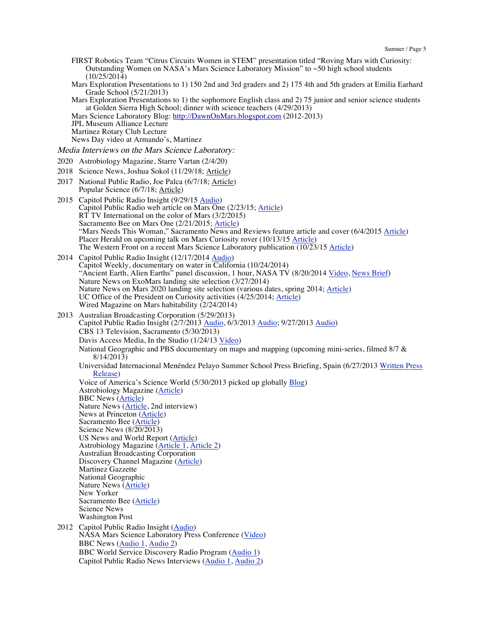- FIRST Robotics Team "Citrus Circuits Women in STEM" presentation titled "Roving Mars with Curiosity: Outstanding Women on NASA's Mars Science Laboratory Mission" to ~50 high school students (10/25/2014)
- Mars Exploration Presentations to 1) 150 2nd and 3rd graders and 2) 175 4th and 5th graders at Emilia Earhard Grade School (5/21/2013)

Mars Exploration Presentations to 1) the sophomore English class and 2) 75 junior and senior science students at Golden Sierra High School; dinner with science teachers (4/29/2013)

Mars Science Laboratory Blog: http://DawnOnMars.blogspot.com (2012-2013)

JPL Museum Alliance Lecture

Martinez Rotary Club Lecture

News Day video at Armando's, Martinez

Media Interviews on the Mars Science Laboratory:

- 2020 Astrobiology Magazine, Starre Vartan (2/4/20)
- 2018 Science News, Joshua Sokol (11/29/18; Article)
- 2017 National Public Radio, Joe Palca (6/7/18; Article) Popular Science (6/7/18; Article)
- 2015 Capitol Public Radio Insight (9/29/15 Audio) Capitol Public Radio web article on Mars One (2/23/15; Article) RT TV International on the color of Mars (3/2/2015) Sacramento Bee on Mars One (2/21/2015; Article) "Mars Needs This Woman," Sacramento News and Reviews feature article and cover (6/4/2015 Article) Placer Herald on upcoming talk on Mars Curiosity rover (10/13/15 Article) The Western Front on a recent Mars Science Laboratory publication (10/23/15 Article)
- 2014 Capitol Public Radio Insight (12/17/2014 Audio) Capitol Weekly, documentary on water in California (10/24/2014) "Ancient Earth, Alien Earths" panel discussion, 1 hour, NASA TV (8/20/2014 <u>Video, News Brief</u>) Nature News on ExoMars landing site selection (3/27/2014) Nature News on Mars 2020 landing site selection (various dates, spring 2014; Article) UC Office of the President on Curiosity activities (4/25/2014; Article) Wired Magazine on Mars habitability (2/24/2014)
- 2013 Australian Broadcasting Corporation (5/29/2013) Capitol Public Radio Insight (2/7/2013 Audio, 6/3/2013 Audio; 9/27/2013 Audio) CBS 13 Television, Sacramento (5/30/2013) Davis Access Media, In the Studio (1/24/13 Video) National Geographic and PBS documentary on maps and mapping (upcoming mini-series, filmed 8/7 & 8/14/2013) Universidad Internacional Menéndez Pelayo Summer School Press Briefing, Spain (6/27/2013 Written Press Release) Voice of America's Science World (5/30/2013 picked up globally Blog) Astrobiology Magazine (Article) BBC News (Article) Nature News (Article, 2nd interview) News at Princeton (Article) Sacramento Bee (Article) Science News (8/20/2013) US News and World Report (Article) Astrobiology Magazine (Article 1, Article 2) Australian Broadcasting Corporation Discovery Channel Magazine (Article) Martinez Gazzette National Geographic Nature News (Article) New Yorker Sacramento Bee (Article) Science News Washington Post 2012 Capitol Public Radio Insight (Audio) NASA Mars Science Laboratory Press Conference (Video) BBC News (Audio 1, Audio 2)

BBC World Service Discovery Radio Program (Audio 1) Capitol Public Radio News Interviews (Audio 1, Audio 2)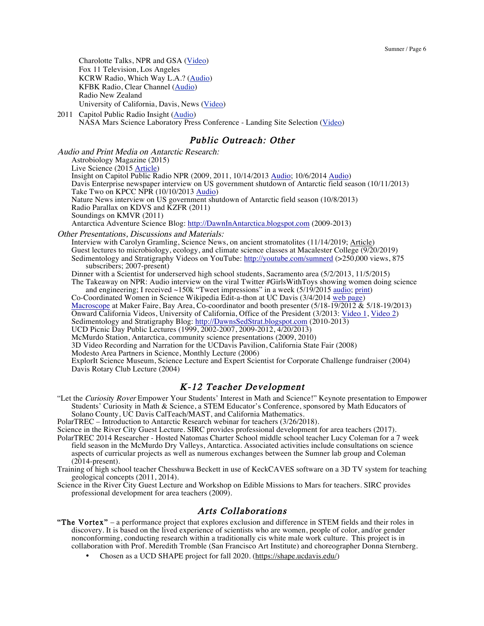Charolotte Talks, NPR and GSA (Video) Fox 11 Television, Los Angeles KCRW Radio, Which Way L.A.? (Audio) KFBK Radio, Clear Channel (Audio) Radio New Zealand University of California, Davis, News (Video)

2011 Capitol Public Radio Insight (Audio) NASA Mars Science Laboratory Press Conference - Landing Site Selection (Video)

### Public Outreach: Other

Audio and Print Media on Antarctic Research: Astrobiology Magazine (2015) Live Science (2015 Article) Insight on Capitol Public Radio NPR (2009, 2011, 10/14/2013 Audio; 10/6/2014 Audio) Davis Enterprise newspaper interview on US government shutdown of Antarctic field season (10/11/2013) Take Two on KPCC NPR (10/10/2013 Audio) Nature News interview on US government shutdown of Antarctic field season (10/8/2013) Radio Parallax on KDVS and KZFR (2011) Soundings on KMVR (2011) Antarctica Adventure Science Blog: http://DawnInAntarctica.blogspot.com (2009-2013)

Other Presentations, Discussions and Materials:

Interview with Carolyn Gramling, Science News, on ancient stromatolites (11/14/2019; Article) Guest lectures to microbiology, ecology, and climate science classes at Macalester College (9/20/2019) Sedimentology and Stratigraphy Videos on YouTube: http://youtube.com/sumnerd (>250,000 views, 875 subscribers; 2007-present)

Dinner with a Scientist for underserved high school students, Sacramento area (5/2/2013, 11/5/2015) The Takeaway on NPR: Audio interview on the viral Twitter #GirlsWithToys showing women doing science and engineering; I received  $\sim$ 150k "Tweet impressions" in a week (5/19/2015 audio; print)

Co-Coordinated Women in Science Wikipedia Edit-a-thon at UC Davis (3/4/2014 web page)

Macroscope at Maker Faire, Bay Area, Co-coordinator and booth presenter (5/18-19/2012 & 5/18-19/2013)

Onward California Videos, University of California, Office of the President (3/2013: Video 1, Video 2)

Sedimentology and Stratigraphy Blog: http://DawnsSedStrat.blogspot.com (2010-2013)

UCD Picnic Day Public Lectures (1999, 2002-2007, 2009-2012, 4/20/2013)

McMurdo Station, Antarctica, community science presentations (2009, 2010)

3D Video Recording and Narration for the UCDavis Pavilion, California State Fair (2008)

Modesto Area Partners in Science, Monthly Lecture (2006)

ExplorIt Science Museum, Science Lecture and Expert Scientist for Corporate Challenge fundraiser (2004) Davis Rotary Club Lecture (2004)

# K-12 Teacher Development

"Let the Curiosity Rover Empower Your Students' Interest in Math and Science!" Keynote presentation to Empower Students' Curiosity in Math & Science, a STEM Educator's Conference, sponsored by Math Educators of Solano County, UC Davis CalTeach/MAST, and California Mathematics.

PolarTREC – Introduction to Antarctic Research webinar for teachers (3/26/2018).

Science in the River City Guest Lecture. SIRC provides professional development for area teachers (2017).

PolarTREC 2014 Researcher - Hosted Natomas Charter School middle school teacher Lucy Coleman for a 7 week field season in the McMurdo Dry Valleys, Antarctica. Associated activities include consultations on science aspects of curricular projects as well as numerous exchanges between the Sumner lab group and Coleman  $(2014$ -present).

Training of high school teacher Chesshuwa Beckett in use of KeckCAVES software on a 3D TV system for teaching geological concepts (2011, 2014).

Science in the River City Guest Lecture and Workshop on Edible Missions to Mars for teachers. SIRC provides professional development for area teachers (2009).

# Arts Collaborations

- "The Vortex" a performance project that explores exclusion and difference in STEM fields and their roles in discovery. It is based on the lived experience of scientists who are women, people of color, and/or gender nonconforming, conducting research within a traditionally cis white male work culture. This project is in collaboration with Prof. Meredith Tromble (San Francisco Art Institute) and choreographer Donna Sternberg.
	- Chosen as a UCD SHAPE project for fall 2020. (https://shape.ucdavis.edu/)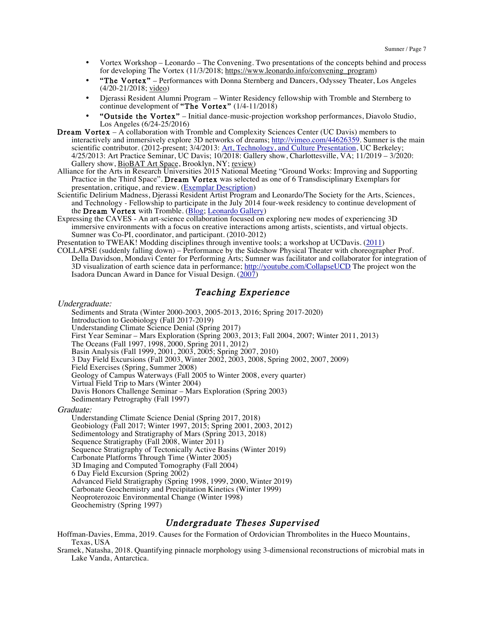- Vortex Workshop Leonardo The Convening. Two presentations of the concepts behind and process for developing The Vortex (11/3/2018; https://www.leonardo.info/convening\_program)
- "The Vortex" Performances with Donna Sternberg and Dancers, Odyssey Theater, Los Angeles (4/20-21/2018; video)
- Djerassi Resident Alumni Program Winter Residency fellowship with Tromble and Sternberg to continue development of "The Vortex" (1/4-11/2018)
- "Outside the Vortex" Initial dance-music-projection workshop performances, Diavolo Studio, Los Angeles (6/24-25/2016)
- Dream Vortex A collaboration with Tromble and Complexity Sciences Center (UC Davis) members to interactively and immersively explore 3D networks of dreams; http://vimeo.com/44626359. Sumner is the main scientific contributor. (2012-present; 3/4/2013: Art, Technology, and Culture Presentation, UC Berkeley; 4/25/2013: Art Practice Seminar, UC Davis; 10/2018: Gallery show, Charlottesville, VA; 11/2019 – 3/2020: Gallery show, BioBAT Art Space, Brooklyn, NY; review)
- Alliance for the Arts in Research Universities 2015 National Meeting "Ground Works: Improving and Supporting Practice in the Third Space". Dream Vortex was selected as one of 6 Transdisciplinary Exemplars for presentation, critique, and review. (Exemplar Description)
- Scientific Delirium Madness, Djerassi Resident Artist Program and Leonardo/The Society for the Arts, Sciences, and Technology - Fellowship to participate in the July 2014 four-week residency to continue development of the Dream Vortex with Tromble. (Blog; Leonardo Gallery)
- Expressing the CAVES An art-science collaboration focused on exploring new modes of experiencing 3D immersive environments with a focus on creative interactions among artists, scientists, and virtual objects. Sumner was Co-PI, coordinator, and participant. (2010-2012)

Presentation to TWEAK! Modding disciplines through inventive tools; a workshop at UCDavis. (2011)

COLLAPSE (suddenly falling down) – Performance by the Sideshow Physical Theater with choreographer Prof. Della Davidson, Mondavi Center for Performing Arts; Sumner was facilitator and collaborator for integration of 3D visualization of earth science data in performance; http://youtube.com/CollapseUCD The project won the Isadora Duncan Award in Dance for Visual Design. (2007)

# Teaching Experience

#### Undergraduate:

Sediments and Strata (Winter 2000-2003, 2005-2013, 2016; Spring 2017-2020) Introduction to Geobiology (Fall 2017-2019) Understanding Climate Science Denial (Spring 2017) First Year Seminar – Mars Exploration (Spring 2003, 2013; Fall 2004, 2007; Winter 2011, 2013) The Oceans (Fall 1997, 1998, 2000, Spring 2011, 2012) Basin Analysis (Fall 1999, 2001, 2003, 2005; Spring 2007, 2010) 3 Day Field Excursions (Fall 2003, Winter 2002, 2003, 2008, Spring 2002, 2007, 2009) Field Exercises (Spring, Summer 2008) Geology of Campus Waterways (Fall 2005 to Winter 2008, every quarter) Virtual Field Trip to Mars (Winter 2004) Davis Honors Challenge Seminar – Mars Exploration (Spring 2003) Sedimentary Petrography (Fall 1997)

Graduate:

Understanding Climate Science Denial (Spring 2017, 2018) Geobiology (Fall 2017; Winter 1997, 2015; Spring 2001, 2003, 2012) Sedimentology and Stratigraphy of Mars (Spring 2013, 2018) Sequence Stratigraphy (Fall 2008, Winter 2011) Sequence Stratigraphy of Tectonically Active Basins (Winter 2019) Carbonate Platforms Through Time (Winter 2005) 3D Imaging and Computed Tomography (Fall 2004) 6 Day Field Excursion (Spring 2002) Advanced Field Stratigraphy (Spring 1998, 1999, 2000, Winter 2019) Carbonate Geochemistry and Precipitation Kinetics (Winter 1999) Neoproterozoic Environmental Change (Winter 1998) Geochemistry (Spring 1997)

### Undergraduate Theses Supervised

Hoffman-Davies, Emma, 2019. Causes for the Formation of Ordovician Thrombolites in the Hueco Mountains, Texas, USA

Sramek, Natasha, 2018. Quantifying pinnacle morphology using 3-dimensional reconstructions of microbial mats in Lake Vanda, Antarctica.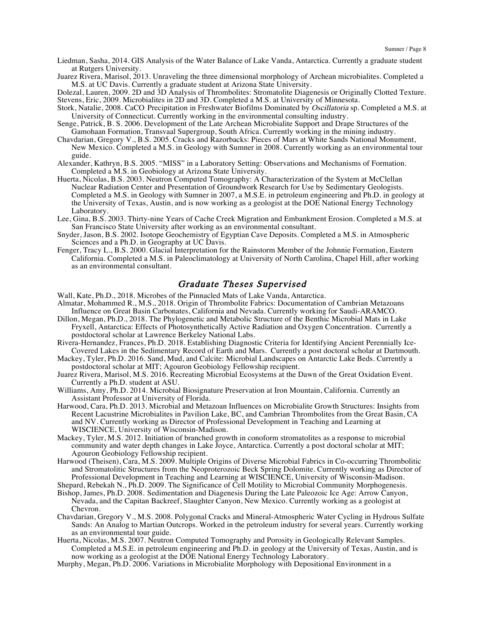Liedman, Sasha, 2014. GIS Analysis of the Water Balance of Lake Vanda, Antarctica. Currently a graduate student at Rutgers University.

Juarez Rivera, Marisol, 2013. Unraveling the three dimensional morphology of Archean microbialites. Completed a M.S. at UC Davis. Currently a graduate student at Arizona State University.

Dolezal, Lauren, 2009. 2D and 3D Analysis of Thrombolites: Stromatolite Diagenesis or Originally Clotted Texture. Stevens, Eric, 2009. Microbialites in 2D and 3D. Completed a M.S. at University of Minnesota.

Stork, Natalie, 2008. CaCO Precipitation in Freshwater Biofilms Dominated by Oscillatoria sp. Completed a M.S. at University of Connecticut. Currently working in the environmental consulting industry.

Senge, Patrick, B. S. 2006. Development of the Late Archean Microbialite Support and Drape Structures of the Gamohaan Formation, Transvaal Supergroup, South Africa. Currently working in the mining industry.

- Chavdarian, Gregory V., B.S. 2005. Cracks and Razorbacks: Pieces of Mars at White Sands National Monument, New Mexico. Completed a M.S. in Geology with Sumner in 2008. Currently working as an environmental tour guide.
- Alexander, Kathryn, B.S. 2005. "MISS" in a Laboratory Setting: Observations and Mechanisms of Formation. Completed a M.S. in Geobiology at Arizona State University.
- Huerta, Nicolas, B.S. 2003. Neutron Computed Tomography: A Characterization of the System at McClellan Nuclear Radiation Center and Presentation of Groundwork Research for Use by Sedimentary Geologists. Completed a M.S. in Geology with Sumner in 2007, a M.S.E. in petroleum engineering and Ph.D. in geology at the University of Texas, Austin, and is now working as a geologist at the DOE National Energy Technology Laboratory.
- Lee, Gina, B.S. 2003. Thirty-nine Years of Cache Creek Migration and Embankment Erosion. Completed a M.S. at San Francisco State University after working as an environmental consultant.
- Snyder, Jason, B.S. 2002. Isotope Geochemistry of Egyptian Cave Deposits. Completed a M.S. in Atmospheric Sciences and a Ph.D. in Geography at UC Davis.
- Fenger, Tracy L., B.S. 2000. Glacial Interpretation for the Rainstorm Member of the Johnnie Formation, Eastern California. Completed a M.S. in Paleoclimatology at University of North Carolina, Chapel Hill, after working as an environmental consultant.

### Graduate Theses Supervised

- Wall, Kate, Ph.D., 2018. Microbes of the Pinnacled Mats of Lake Vanda, Antarctica.
- Almatar, Mohammed R., M.S., 2018. Origin of Thrombolite Fabrics: Documentation of Cambrian Metazoans Influence on Great Basin Carbonates, California and Nevada. Currently working for Saudi-ARAMCO.
- Dillon, Megan, Ph.D., 2018. The Phylogenetic and Metabolic Structure of the Benthic Microbial Mats in Lake Fryxell, Antarctica: Effects of Photosynthetically Active Radiation and Oxygen Concentration. Currently a postdoctoral scholar at Lawrence Berkeley National Labs.
- Rivera-Hernandez, Frances, Ph.D. 2018. Establishing Diagnostic Criteria for Identifying Ancient Perennially Ice-Covered Lakes in the Sedimentary Record of Earth and Mars. Currently a post doctoral scholar at Dartmouth.
- Mackey, Tyler, Ph.D. 2016. Sand, Mud, and Calcite: Microbial Landscapes on Antarctic Lake Beds. Currently a postdoctoral scholar at MIT; Agouron Geobiology Fellowship recipient.
- Juarez Rivera, Marisol, M.S. 2016. Recreating Microbial Ecosystems at the Dawn of the Great Oxidation Event. Currently a Ph.D. student at ASU.
- Williams, Amy, Ph.D. 2014. Microbial Biosignature Preservation at Iron Mountain, California. Currently an Assistant Professor at University of Florida.
- Harwood, Cara, Ph.D. 2013. Microbial and Metazoan Influences on Microbialite Growth Structures: Insights from Recent Lacustrine Microbialites in Pavilion Lake, BC, and Cambrian Thrombolites from the Great Basin, CA and NV. Currently working as Director of Professional Development in Teaching and Learning at WISCIENCE, University of Wisconsin-Madison.
- Mackey, Tyler, M.S. 2012. Initiation of branched growth in conoform stromatolites as a response to microbial community and water depth changes in Lake Joyce, Antarctica. Currently a post doctoral scholar at MIT; Agouron Geobiology Fellowship recipient.
- Harwood (Theisen), Cara, M.S. 2009. Multiple Origins of Diverse Microbial Fabrics in Co-occurring Thrombolitic and Stromatolitic Structures from the Neoproterozoic Beck Spring Dolomite. Currently working as Director of Professional Development in Teaching and Learning at WISCIENCE, University of Wisconsin-Madison.

Shepard, Rebekah N., Ph.D. 2009. The Significance of Cell Motility to Microbial Community Morphogenesis.

- Bishop, James, Ph.D. 2008. Sedimentation and Diagenesis During the Late Paleozoic Ice Age: Arrow Canyon, Nevada, and the Capitan Backreef, Slaughter Canyon, New Mexico. Currently working as a geologist at Chevron.
- Chavdarian, Gregory V., M.S. 2008. Polygonal Cracks and Mineral-Atmospheric Water Cycling in Hydrous Sulfate Sands: An Analog to Martian Outcrops. Worked in the petroleum industry for several years. Currently working as an environmental tour guide.
- Huerta, Nicolas, M.S. 2007. Neutron Computed Tomography and Porosity in Geologically Relevant Samples. Completed a M.S.E. in petroleum engineering and Ph.D. in geology at the University of Texas, Austin, and is now working as a geologist at the DOE National Energy Technology Laboratory.
- Murphy, Megan, Ph.D. 2006. Variations in Microbialite Morphology with Depositional Environment in a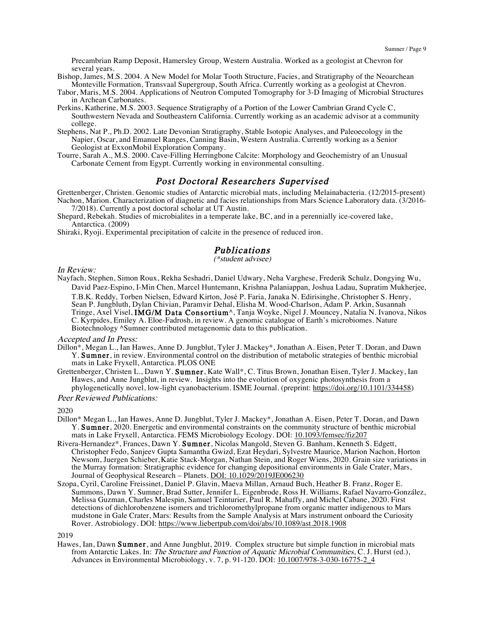Precambrian Ramp Deposit, Hamersley Group, Western Australia. Worked as a geologist at Chevron for several years.

- Bishop, James, M.S. 2004. A New Model for Molar Tooth Structure, Facies, and Stratigraphy of the Neoarchean Monteville Formation, Transvaal Supergroup, South Africa. Currently working as a geologist at Chevron.
- Tabor, Maris, M.S. 2004. Applications of Neutron Computed Tomography for 3-D Imaging of Microbial Structures in Archean Carbonates.
- Perkins, Katherine, M.S. 2003. Sequence Stratigraphy of a Portion of the Lower Cambrian Grand Cycle C, Southwestern Nevada and Southeastern California. Currently working as an academic advisor at a community college.
- Stephens, Nat P., Ph.D. 2002. Late Devonian Stratigraphy, Stable Isotopic Analyses, and Paleoecology in the Napier, Oscar, and Emanuel Ranges, Canning Basin, Western Australia. Currently working as a Senior Geologist at ExxonMobil Exploration Company.
- Tourre, Sarah A., M.S. 2000. Cave-Filling Herringbone Calcite: Morphology and Geochemistry of an Unusual Carbonate Cement from Egypt. Currently working in environmental consulting.

### Post Doctoral Researchers Supervised

Grettenberger, Christen. Genomic studies of Antarctic microbial mats, including Melainabacteria. (12/2015-present) Nachon, Marion. Characterization of diagnetic and facies relationships from Mars Science Laboratory data. (3/2016- 7/2018). Currently a post doctoral scholar at UT Austin.

- Shepard, Rebekah. Studies of microbialites in a temperate lake, BC, and in a perennially ice-covered lake, Antarctica. (2009)
- Shiraki, Ryoji. Experimental precipitation of calcite in the presence of reduced iron.

# **Publications**<br>(\*student advisee)

#### In Review:

Nayfach, Stephen, Simon Roux, Rekha Seshadri, Daniel Udwary, Neha Varghese, Frederik Schulz, Dongying Wu, David Paez-Espino, I-Min Chen, Marcel Huntemann, Krishna Palaniappan, Joshua Ladau, Supratim Mukherjee, T.B.K. Reddy, Torben Nielsen, Edward Kirton, José P. Faria, Janaka N. Edirisinghe, Christopher S. Henry, Sean P. Jungbluth, Dylan Chivian, Paramvir Dehal, Elisha M. Wood-Charlson, Adam P. Arkin, Susannah Tringe, Axel Visel, IMG/M Data Consortium<sup>A</sup>, Tanja Woyke, Nigel J. Mouncey, Natalia N. Ivanova, Nikos C. Kyrpides, Emiley A. Eloe-Fadrosh, in review. A genomic catalogue of Earth's microbiomes. Nature Biotechnology ^Sumner contributed metagenomic data to this publication.

### Accepted and In Press:

- Dillon\*, Megan L., Ian Hawes, Anne D. Jungblut, Tyler J. Mackey\*, Jonathan A. Eisen, Peter T. Doran, and Dawn Y. Sumner, in review. Environmental control on the distribution of metabolic strategies of benthic microbial mats in Lake Fryxell, Antarctica. PLOS ONE
- Grettenberger, Christen L., Dawn Y. Sumner, Kate Wall\*, C. Titus Brown, Jonathan Eisen, Tyler J. Mackey, Ian Hawes, and Anne Jungblut, in review. Insights into the evolution of oxygenic photosynthesis from a phylogenetically novel, low-light cyanobacterium. ISME Journal. (preprint: https://doi.org/10.1101/334458)

#### Peer Reviewed Publications:

#### 2020

- Dillon\* Megan L., Ian Hawes, Anne D. Jungblut, Tyler J. Mackey\*, Jonathan A. Eisen, Peter T. Doran, and Dawn Y. Sumner, 2020. Energetic and environmental constraints on the community structure of benthic microbial mats in Lake Fryxell, Antarctica. FEMS Microbiology Ecology. DOI: 10.1093/femsec/fiz207
- Rivera-Hernandez\*, Frances, Dawn Y. Sumner, Nicolas Mangold, Steven G. Banham, Kenneth S. Edgett, Christopher Fedo, Sanjeev Gupta Samantha Gwizd, Ezat Heydari, Sylvestre Maurice, Marion Nachon, Horton Newsom, Juergen Schieber, Katie Stack-Morgan, Nathan Stein, and Roger Wiens, 2020. Grain size variations in the Murray formation: Stratigraphic evidence for changing depositional environments in Gale Crater, Mars, Journal of Geophysical Research - Planets. DOI: 10.1029/2019JE006230
- Szopa, Cyril, Caroline Freissinet, Daniel P. Glavin, Maeva Millan, Arnaud Buch, Heather B. Franz, Roger E. Summons, Dawn Y. Sumner, Brad Sutter, Jennifer L. Eigenbrode, Ross H. Williams, Rafael Navarro-González, Melissa Guzman, Charles Malespin, Samuel Teinturier, Paul R. Mahaffy, and Michel Cabane, 2020. First detections of dichlorobenzene isomers and trichloromethylpropane from organic matter indigenous to Mars mudstone in Gale Crater, Mars: Results from the Sample Analysis at Mars instrument onboard the Curiosity Rover. Astrobiology. DOI: https://www.liebertpub.com/doi/abs/10.1089/ast.2018.1908

2019

Hawes, Ian, Dawn Sumner, and Anne Jungblut, 2019. Complex structure but simple function in microbial mats from Antarctic Lakes. In: The Structure and Function of Aquatic Microbial Communities, C. J. Hurst (ed.), Advances in Environmental Microbiology, v. 7, p. 91-120. DOI: 10.1007/978-3-030-16775-2\_4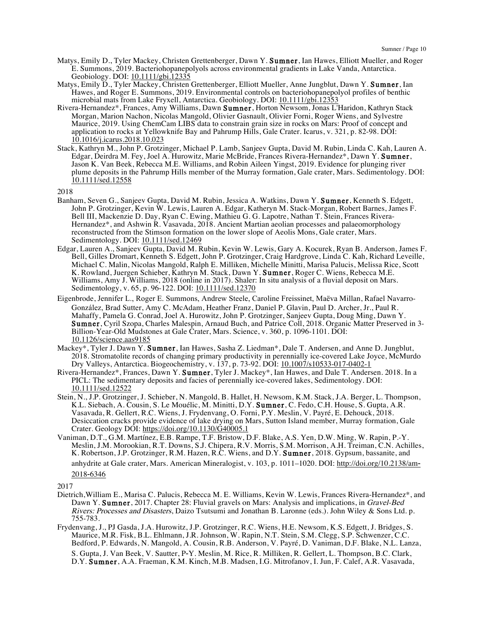- Matys, Emily D., Tyler Mackey, Christen Grettenberger, Dawn Y. Sumner, Ian Hawes, Elliott Mueller, and Roger E. Summons, 2019. Bacteriohopanepolyols across environmental gradients in Lake Vanda, Antarctica. Geobiology. DOI: 10.1111/gbi.12335
- Matys, Emily D., Tyler Mackey, Christen Grettenberger, Elliott Mueller, Anne Jungblut, Dawn Y. Sumner, Ian Hawes, and Roger E. Summons, 2019. Environmental controls on bacteriohopanepolyol profiles of benthic microbial mats from Lake Fryxell, Antarctica. Geobiology. DOI: 10.1111/gbi.12353
- Rivera-Hernandez\*, Frances, Amy Williams, Dawn Sumner, Horton Newsom, Jonas L'Haridon, Kathryn Stack Morgan, Marion Nachon, Nicolas Mangold, Olivier Gasnault, Olivier Forni, Roger Wiens, and Sylvestre Maurice, 2019. Using ChemCam LIBS data to constrain grain size in rocks on Mars: Proof of concept and application to rocks at Yellowknife Bay and Pahrump Hills, Gale Crater. Icarus, v. 321, p. 82-98. DOI: 10.1016/j.icarus.2018.10.023
- Stack, Kathryn M., John P. Grotzinger, Michael P. Lamb, Sanjeev Gupta, David M. Rubin, Linda C. Kah, Lauren A. Edgar, Deirdra M. Fey, Joel A. Hurowitz, Marie McBride, Frances Rivera-Hernandez\*, Dawn Y. Sumner, Jason K. Van Beek, Rebecca M.E. Williams, and Robin Aileen Yingst, 2019. Evidence for plunging river plume deposits in the Pahrump Hills member of the Murray formation, Gale crater, Mars. Sedimentology. DOI: 10.1111/sed.12558

2018

- Banham, Seven G., Sanjeev Gupta, David M. Rubin, Jessica A. Watkins, Dawn Y. Sumner, Kenneth S. Edgett, John P. Grotzinger, Kevin W. Lewis, Lauren A. Edgar, Katheryn M. Stack-Morgan, Robert Barnes, James F. Bell III, Mackenzie D. Day, Ryan C. Ewing, Mathieu G. G. Lapotre, Nathan T. Stein, Frances Rivera-Hernandez\*, and Ashwin R. Vasavada, 2018. Ancient Martian aeolian processes and palaeomorphology reconstructed from the Stimson formation on the lower slope of Aeolis Mons, Gale crater, Mars. Sedimentology. DOI: 10.1111/sed.12469
- Edgar, Lauren A., Sanjeev Gupta, David M. Rubin, Kevin W. Lewis, Gary A. Kocurek, Ryan B. Anderson, James F. Bell, Gilles Dromart, Kenneth S. Edgett, John P. Grotzinger, Craig Hardgrove, Linda C. Kah, Richard Leveille, Michael C. Malin, Nicolas Mangold, Ralph E. Milliken, Michelle Minitti, Marisa Palucis, Melissa Rice, Scott K. Rowland, Juergen Schieber, Kathryn M. Stack, Dawn Y. Sumner, Roger C. Wiens, Rebecca M.E. Williams, Amy J. Williams, 2018 (online in 2017). Shaler: In situ analysis of a fluvial deposit on Mars. Sedimentology, v. 65, p. 96-122. DOI: 10.1111/sed.12370
- Eigenbrode, Jennifer L., Roger E. Summons, Andrew Steele, Caroline Freissinet, Maëva Millan, Rafael Navarro-González, Brad Sutter, Amy C. McAdam, Heather Franz, Daniel P. Glavin, Paul D. Archer, Jr., Paul R. Mahaffy, Pamela G. Conrad, Joel A. Hurowitz, John P. Grotzinger, Sanjeev Gupta, Doug Ming, Dawn Y. Sumner, Cyril Szopa, Charles Malespin, Arnaud Buch, and Patrice Coll, 2018. Organic Matter Preserved in 3-Billion-Year-Old Mudstones at Gale Crater, Mars. Science, v. 360, p. 1096-1101. DOI: 10.1126/science.aas9185
- Mackey\*, Tyler J. Dawn Y. Sumner, Ian Hawes, Sasha Z. Liedman\*, Dale T. Andersen, and Anne D. Jungblut, 2018. Stromatolite records of changing primary productivity in perennially ice-covered Lake Joyce, McMurdo Dry Valleys, Antarctica. Biogeochemistry, v. 137, p. 73-92. DOI: 10.1007/s10533-017-0402-1
- Rivera-Hernandez\*, Frances, Dawn Y. Sumner, Tyler J. Mackey\*, Ian Hawes, and Dale T. Andersen. 2018. In a PICL: The sedimentary deposits and facies of perennially ice-covered lakes, Sedimentology. DOI: 10.1111/sed.12522
- Stein, N., J.P. Grotzinger, J. Schieber, N. Mangold, B. Hallet, H. Newsom, K.M. Stack, J.A. Berger, L. Thompson, K.L. Siebach, A. Cousin, S. Le Mouélic, M. Minitti, D.Y. Sumner, C. Fedo, C.H. House, S. Gupta, A.R. Vasavada, R. Gellert, R.C. Wiens, J. Frydenvang, O. Forni, P.Y. Meslin, V. Payré, E. Dehouck, 2018. Desiccation cracks provide evidence of lake drying on Mars, Sutton Island member, Murray formation, Gale Crater. Geology DOI: https://doi.org/10.1130/G40005.1
- Vaniman, D.T., G.M. Martínez, E.B. Rampe, T.F. Bristow, D.F. Blake, A.S. Yen, D.W. Ming, W. Rapin, P.-Y. Meslin, J.M. Morookian, R.T. Downs, S.J. Chipera, R.V. Morris, S.M. Morrison, A.H. Treiman, C.N. Achilles, K. Robertson, J.P. Grotzinger, R.M. Hazen, R.C. Wiens, and D.Y. Sumner, 2018. Gypsum, bassanite, and anhydrite at Gale crater, Mars. American Mineralogist, v. 103, p. 1011–1020. DOI: http://doi.org/10.2138/am‐ 2018‐6346

- Dietrich,William E., Marisa C. Palucis, Rebecca M. E. Williams, Kevin W. Lewis, Frances Rivera-Hernandez\*, and Dawn Y. **Sumner**, 2017. Chapter 28: Fluvial gravels on Mars: Analysis and implications, in *Gravel-Bed* Rivers: Processes and Disasters, Daizo Tsutsumi and Jonathan B. Laronne (eds.). John Wiley & Sons Ltd. p. 755-783.
- Frydenvang, J., PJ Gasda, J.A. Hurowitz, J.P. Grotzinger, R.C. Wiens, H.E. Newsom, K.S. Edgett, J. Bridges, S. Maurice, M.R. Fisk, B.L. Ehlmann, J.R. Johnson, W. Rapin, N.T. Stein, S.M. Clegg, S.P. Schwenzer, C.C. Bedford, P. Edwards, N. Mangold, A. Cousin, R.B. Anderson, V. Payré, D. Vaniman, D.F. Blake, N.L. Lanza, S. Gupta, J. Van Beek, V. Sautter, P‐Y. Meslin, M. Rice, R. Milliken, R. Gellert, L. Thompson, B.C. Clark, D.Y. Sumner, A.A. Fraeman, K.M. Kinch, M.B. Madsen, I.G. Mitrofanov, I. Jun, F. Calef, A.R. Vasavada,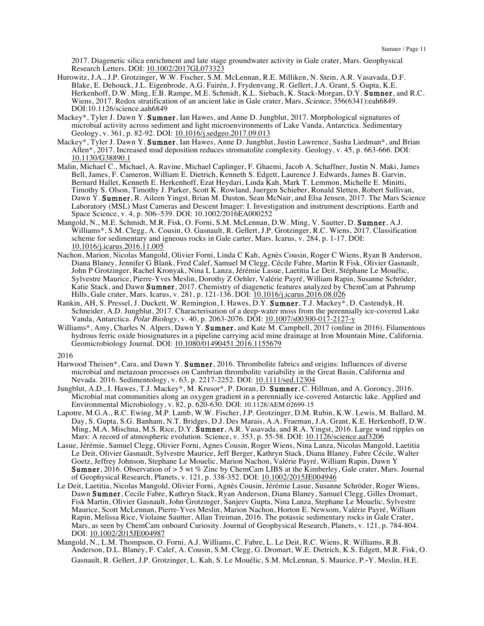2017. Diagenetic silica enrichment and late stage groundwater activity in Gale crater, Mars. Geophysical Research Letters. DOI: 10.1002/2017GL073323

- Hurowitz, J.A., J.P. Grotzinger, W.W. Fischer, S.M. McLennan, R.E. Milliken, N. Stein, A.R. Vasavada, D.F. Blake, E. Dehouck, J.L. Eigenbrode, A.G. Fairén, J. Frydenvang, R. Gellert, J.A. Grant, S. Gupta, K.E. Herkenhoff, D.W. Ming, E.B. Rampe, M.E. Schmidt, K.L. Siebach, K. Stack-Morgan, D.Y. **Sumner**, and R.C. Wiens, 2017. Redox stratification of an ancient lake in Gale crater, Mars, *Science*, 356(6341):eah6849. DOI:10.1126/science.aah6849
- Mackey\*, Tyler J. Dawn Y. Sumner, Ian Hawes, and Anne D. Jungblut, 2017. Morphological signatures of microbial activity across sediment and light microenvironments of Lake Vanda, Antarctica. Sedimentary Geology, v. 361, p. 82-92. DOI: 10.1016/j.sedgeo.2017.09.013
- Mackey\*, Tyler J. Dawn Y. Sumner, Ian Hawes, Anne D. Jungblut, Justin Lawrence, Sasha Liedman\*, and Brian Allen\*, 2017. Increased mud deposition reduces stromatolite complexity. Geology, v. 45, p. 663-666. DOI: 10.1130/G38890.1
- Malin, Michael C., Michael, A. Ravine, Michael Caplinger, F. Ghaemi, Jacob A. Schaffner, Justin N. Maki, James Bell, James, F. Cameron, William E. Dietrich, Kenneth S. Edgett, Laurence J. Edwards, James B. Garvin, Bernard Hallet, Kenneth E. Herkenhoff, Ezat Heydari, Linda Kah, Mark T. Lemmon, Michelle E. Minitti, Timothy S. Olson, Timothy J. Parker, Scott K. Rowland, Juergen Schieber, Ronald Sletten, Robert Sullivan, Dawn Y. Sumner, R. Aileen Yingst, Brian M. Duston, Sean McNair, and Elsa Jensen, 2017. The Mars Science Laboratory (MSL) Mast Cameras and Descent Imager: I. Investigation and instrument descriptions. Earth and Space Science, v. 4, p. 506–539. DOI: 10.1002/2016EA000252
- Mangold, N., M.E. Schmidt, M.R. Fisk, O. Forni, S.M. McLennan, D.W. Ming, V. Sautter, D. Sumner, A.J. Williams\*, S.M. Clegg, A. Cousin, O. Gasnault, R. Gellert, J.P. Grotzinger, R.C. Wiens, 2017. Classification scheme for sedimentary and igneous rocks in Gale carter, Mars. Icarus, v. 284, p. 1-17. DOI: 10.1016/j.icarus.2016.11.005
- Nachon, Marion, Nicolas Mangold, Olivier Forni, Linda C Kah, Agnès Cousin, Roger C Wiens, Ryan B Anderson, Diana Blaney, Jennifer G Blank, Fred Calef, Samuel M Clegg, Cécile Fabre, Martin R Fisk, Olivier Gasnault, John P Grotzinger, Rachel Kronyak, Nina L Lanza, Jérémie Lasue, Laetitia Le Deit, Stéphane Le Mouélic, Sylvestre Maurice, Pierre-Yves Meslin, Dorothy Z Oehler, Valérie Payré, William Rapin, Susanne Schröder, Katie Stack, and Dawn Sumner, 2017. Chemistry of diagenetic features analyzed by ChemCam at Pahrump Hills, Gale crater, Mars. Icarus, v. 281, p. 121-136. DOI: 10.1016/j.icarus.2016.08.026
- Rankin, AH, S. Pressel, J. Duckett, W. Remington, I. Hawes, D.Y. Sumner, T.J. Mackey\*, D. Castendyk, H. Schneider, A.D. Jungblut, 2017. Characterisation of a deep-water moss from the perennially ice-covered Lake Vanda, Antarctica. Polar Biology, v. 40, p. 2063-2076. DOI: 10.1007/s00300-017-2127-y
- Williams\*, Amy, Charles N. Alpers, Dawn Y. Sumner, and Kate M. Campbell, 2017 (online in 2016). Filamentous hydrous ferric oxide biosignatures in a pipeline carrying acid mine drainage at Iron Mountain Mine, California. Geomicrobiology Journal. DOI: 10.1080/01490451.2016.1155679

- Harwood Theisen\*, Cara, and Dawn Y. **Sumner**, 2016. Thrombolite fabrics and origins: Influences of diverse microbial and metazoan processes on Cambrian thrombolite variability in the Great Basin, California and Nevada. 2016. Sedimentology, v. 63, p. 2217-2252. DOI: 10.1111/sed.12304
- Jungblut, A.D., I. Hawes, T.J. Mackey\*, M. Krusor\*, P. Doran, D. Sumner, C. Hillman, and A. Goroncy, 2016. Microbial mat communities along an oxygen gradient in a perennially ice-covered Antarctic lake. Applied and Environmental Microbiology, v. 82, p. 620-630. DOI: 10.1128/AEM.02699-15
- Lapotre, M.G.A., R.C. Ewing, M.P. Lamb, W.W. Fischer, J.P. Grotzinger, D.M. Rubin, K.W. Lewis, M. Ballard, M. Day, S. Gupta, S.G. Banham, N.T. Bridges, D.J. Des Marais, A.A. Fraeman, J.A. Grant, K.E. Herkenhoff, D.W. Ming, M.A. Mischna, M.S. Rice, D.Y. Sumner, A.R. Vasavada, and R.A. Yingst, 2016. Large wind ripples on Mars: A record of atmospheric evolution. Science, v. 353, p. 55-58. DOI: 10.1126/science.aaf3206
- Lasue, Jérémie, Samuel Clegg, Olivier Forni, Agnes Cousin, Roger Wiens, Nina Lanza, Nicolas Mangold, Laetitia Le Deit, Olivier Gasnault, Sylvestre Maurice, Jeff Berger, Kathryn Stack, Diana Blaney, Fabre Cécile, Walter Goetz, Jeffrey Johnson, Stephane Le Mouelic, Marion Nachon, Valérie Payré, William Rapin, Dawn Y Sumner, 2016. Observation of > 5 wt % Zinc by ChemCam LIBS at the Kimberley, Gale crater, Mars. Journal of Geophysical Research, Planets, v. 121, p. 338-352. DOI: 10.1002/2015JE004946
- Le Deit, Laetitia, Nicolas Mangold, Olivier Forni, Agnès Cousin, Jérémie Lasue, Susanne Schröder, Roger Wiens, Dawn Sumner, Cecile Fabre, Kathryn Stack, Ryan Anderson, Diana Blaney, Samuel Clegg, Gilles Dromart, Fisk Martin, Olivier Gasnault, John Grotzinger, Sanjeev Gupta, Nina Lanza, Stephane Le Mouelic, Sylvestre Maurice, Scott McLennan, Pierre-Yves Meslin, Marion Nachon, Horton E. Newsom, Valérie Payré, William Rapin, Melissa Rice, Violaine Sautter, Allan Treiman, 2016. The potassic sedimentary rocks in Gale Crater, Mars, as seen by ChemCam onboard Curiosity. Journal of Geophysical Research, Planets, v. 121, p. 784-804. DOI: 10.1002/2015JE004987
- Mangold, N., L.M. Thompson, O. Forni, A.J. Williams, C. Fabre, L. Le Deit, R.C. Wiens, R. Williams, R.B. Anderson, D.L. Blaney, F. Calef, A. Cousin, S.M. Clegg, G. Dromart, W.E. Dietrich, K.S. Edgett, M.R. Fisk, O. Gasnault, R. Gellert, J.P. Grotzinger, L. Kah, S. Le Mouélic, S.M. McLennan, S. Maurice, P.‐Y. Meslin, H.E.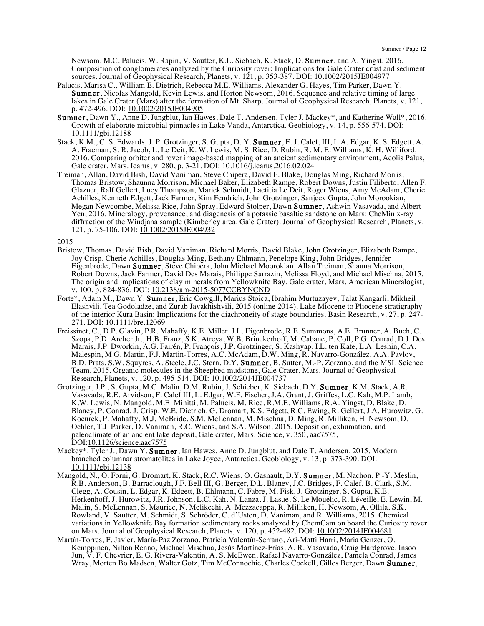Newsom, M.C. Palucis, W. Rapin, V. Sautter, K.L. Siebach, K. Stack, D. Sumner, and A. Yingst, 2016. Composition of conglomerates analyzed by the Curiosity rover: Implications for Gale Crater crust and sediment sources. Journal of Geophysical Research, Planets, v. 121, p. 353-387. DOI: 10.1002/2015JE004977

- Palucis, Marisa C., William E. Dietrich, Rebecca M.E. Williams, Alexander G. Hayes, Tim Parker, Dawn Y. Sumner, Nicolas Mangold, Kevin Lewis, and Horton Newsom, 2016. Sequence and relative timing of large lakes in Gale Crater (Mars) after the formation of Mt. Sharp. Journal of Geophysical Research, Planets, v. 121, p. 472-496. DOI: 10.1002/2015JE004905
- Sumner, Dawn Y., Anne D. Jungblut, Ian Hawes, Dale T. Andersen, Tyler J. Mackey\*, and Katherine Wall\*, 2016. Growth of elaborate microbial pinnacles in Lake Vanda, Antarctica. Geobiology, v. 14, p. 556-574. DOI: 10.1111/gbi.12188
- Stack, K.M., C. S. Edwards, J. P. Grotzinger, S. Gupta, D. Y. Sumner, F. J. Calef, III, L.A. Edgar, K. S. Edgett, A. A. Fraeman, S. R. Jacob, L. Le Deit, K. W. Lewis, M. S. Rice, D. Rubin, R. M. E. Williams, K. H. Williford, 2016. Comparing orbiter and rover image-based mapping of an ancient sedimentary environment, Aeolis Palus, Gale crater, Mars. Icarus, v. 280, p. 3-21. DOI: 10.1016/j.icarus.2016.02.024
- Treiman, Allan, David Bish, David Vaniman, Steve Chipera, David F. Blake, Douglas Ming, Richard Morris, Thomas Bristow, Shaunna Morrison, Michael Baker, Elizabeth Rampe, Robert Downs, Justin Filiberto, Allen F. Glazner, Ralf Gellert, Lucy Thompson, Mariek Schmidt, Laetitia Le Deit, Roger Wiens, Amy McAdam, Cherie Achilles, Kenneth Edgett, Jack Farmer, Kim Fendrich, John Grotzinger, Sanjeev Gupta, John Morookian, Megan Newcombe, Melissa Rice, John Spray, Edward Stolper, Dawn Sumner, Ashwin Vasavada, and Albert Yen, 2016. Mineralogy, provenance, and diagenesis of a potassic basaltic sandstone on Mars: CheMin x-ray diffraction of the Windjana sample (Kimberley area, Gale Crater). Journal of Geophysical Research, Planets, v. 121, p. 75-106. DOI: 10.1002/2015JE004932

- Bristow, Thomas, David Bish, David Vaniman, Richard Morris, David Blake, John Grotzinger, Elizabeth Rampe, Joy Crisp, Cherie Achilles, Douglas Ming, Bethany Ehlmann, Penelope King, John Bridges, Jennifer Eigenbrode, Dawn Sumner, Steve Chipera, John Michael Moorokian, Allan Treiman, Shauna Morrison, Robert Downs, Jack Farmer, David Des Marais, Philippe Sarrazin, Melissa Floyd, and Michael Mischna, 2015. The origin and implications of clay minerals from Yellowknife Bay, Gale crater, Mars. American Mineralogist, v. 100, p. 824-836. DOI: 10.2138/am-2015-5077CCBYNCND
- Forte\*, Adam M., Dawn Y. Sumner, Eric Cowgill, Marius Stoica, Ibrahim Murtuzayev, Talat Kangarli, Mikheil Elashvili, Tea Godoladze, and Zurab Javakhishvili, 2015 (online 2014). Lake Miocene to Pliocene stratigraphy of the interior Kura Basin: Implications for the diachroneity of stage boundaries. Basin Research, v. 27, p. 247- 271. DOI: 10.1111/bre.12069
- Freissinet, C., D.P. Glavin, P.R. Mahaffy, K.E. Miller, J.L. Eigenbrode, R.E. Summons, A.E. Brunner, A. Buch, C. Szopa, P.D. Archer Jr., H.B. Franz, S.K. Atreya, W.B. Brinckerhoff, M. Cabane, P. Coll, P.G. Conrad, D.J. Des Marais, J.P. Dworkin, A.G. Fairén, P. François, J.P. Grotzinger, S. Kashyap, I.L. ten Kate, L.A. Leshin, C.A. Malespin, M.G. Martin, F.J. Martin-Torres, A.C. McAdam, D.W. Ming, R. Navarro-González, A.A. Pavlov, B.D. Prats, S.W. Squyres, A. Steele, J.C. Stern, D.Y. Sumner, B. Sutter, M.-P. Zorzano, and the MSL Science Team, 2015. Organic molecules in the Sheepbed mudstone, Gale Crater, Mars. Journal of Geophysical Research, Planets, v. 120, p. 495-514. DOI: 10.1002/2014JE004737
- Grotzinger, J.P., S. Gupta, M.C. Malin, D.M. Rubin, J. Schieber, K. Siebach, D.Y. Sumner, K.M. Stack, A.R. Vasavada, R.E. Arvidson, F. Calef III, L. Edgar, W.F. Fischer, J.A. Grant, J. Griffes, L.C. Kah, M.P. Lamb, K.W. Lewis, N. Mangold, M.E. Minitti, M. Palucis, M. Rice, R.M.E. Williams, R.A. Yingst, D. Blake, D. Blaney, P. Conrad, J. Crisp, W.E. Dietrich, G. Dromart, K.S. Edgett, R.C. Ewing, R. Gellert, J.A. Hurowitz, G. Kocurek, P. Mahaffy, M.J. McBride, S.M. McLennan, M. Mischna, D. Ming, R. Milliken, H. Newsom, D. Oehler, T.J. Parker, D. Vaniman, R.C. Wiens, and S.A. Wilson, 2015. Deposition, exhumation, and paleoclimate of an ancient lake deposit, Gale crater, Mars. Science, v. 350, aac7575, DOI:10.1126/science.aac7575
- Mackey\*, Tyler J., Dawn Y. Sumner, Ian Hawes, Anne D. Jungblut, and Dale T. Andersen, 2015. Modern branched columnar stromatolites in Lake Joyce, Antarctica. Geobiology, v. 13, p. 373-390. DOI: 10.1111/gbi.12138
- Mangold, N., O. Forni, G. Dromart, K. Stack, R.C. Wiens, O. Gasnault, D.Y. Sumner, M. Nachon, P.-Y. Meslin, R.B. Anderson, B. Barraclough, J.F. Bell III, G. Berger, D.L. Blaney, J.C. Bridges, F. Calef, B. Clark, S.M. Clegg, A. Cousin, L. Edgar, K. Edgett, B. Ehlmann, C. Fabre, M. Fisk, J. Grotzinger, S. Gupta, K.E. Herkenhoff, J. Hurowitz, J.R. Johnson, L.C. Kah, N. Lanza, J. Lasue, S. Le Mouélic, R. Léveillé, E. Lewin, M. Malin, S. McLennan, S. Maurice, N. Melikechi, A. Mezzacappa, R. Milliken, H. Newsom, A. Ollila, S.K. Rowland, V. Sautter, M. Schmidt, S. Schröder, C. d'Uston, D. Vaniman, and R. Williams, 2015. Chemical variations in Yellowknife Bay formation sedimentary rocks analyzed by ChemCam on board the Curiosity rover on Mars. Journal of Geophysical Research, Planets, v. 120, p. 452-482. DOI: 10.1002/2014JE004681
- Martín-Torres, F. Javier, María-Paz Zorzano, Patricia Valentín-Serrano, Ari-Matti Harri, Maria Genzer, O. Kemppinen, Nilton Renno, Michael Mischna, Jesús Martínez-Frías, A. R. Vasavada, Craig Hardgrove, Insoo Jun, V. F. Chevrier, E. G. Rivera-Valentin, A. S. McEwen, Rafael Navarro-González, Pamela Conrad, James Wray, Morten Bo Madsen, Walter Gotz, Tim McConnochie, Charles Cockell, Gilles Berger, Dawn Sumner,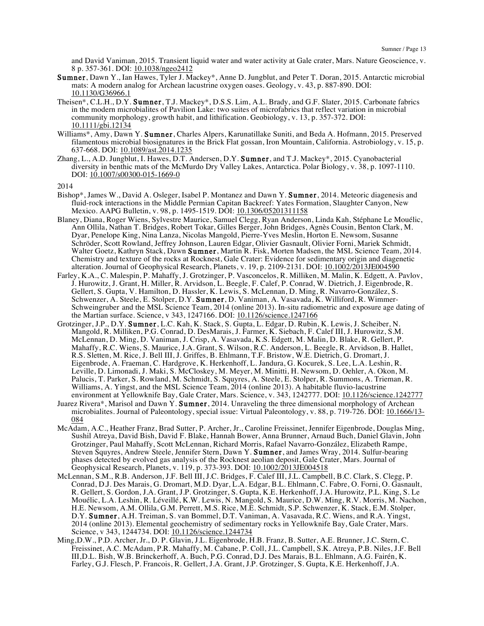and David Vaniman, 2015. Transient liquid water and water activity at Gale crater, Mars. Nature Geoscience, v. 8 p. 357-361. DOI: 10.1038/ngeo2412

- Sumner, Dawn Y., Ian Hawes, Tyler J. Mackey\*, Anne D. Jungblut, and Peter T. Doran, 2015. Antarctic microbial mats: A modern analog for Archean lacustrine oxygen oases. Geology, v. 43, p. 887-890. DOI: 10.1130/G36966.1
- Theisen\*, C.L.H., D.Y. Sumner, T.J. Mackey\*, D.S.S. Lim, A.L. Brady, and G.F. Slater, 2015. Carbonate fabrics in the modern microbialites of Pavilion Lake: two suites of microfabrics that reflect variation in microbial community morphology, growth habit, and lithification. Geobiology, v. 13, p. 357-372. DOI: 10.1111/gbi.12134
- Williams\*, Amy, Dawn Y. Sumner, Charles Alpers, Karunatillake Suniti, and Beda A. Hofmann, 2015. Preserved filamentous microbial biosignatures in the Brick Flat gossan, Iron Mountain, California. Astrobiology, v. 15, p. 637-668. DOI: 10.1089/ast.2014.1235
- Zhang, L., A.D. Jungblut, I. Hawes, D.T. Andersen, D.Y. Sumner, and T.J. Mackey\*, 2015. Cyanobacterial diversity in benthic mats of the McMurdo Dry Valley Lakes, Antarctica. Polar Biology, v. 38, p. 1097-1110. DOI: 10.1007/s00300-015-1669-0

- Bishop\*, James W., David A. Osleger, Isabel P. Montanez and Dawn Y. Sumner, 2014. Meteoric diagenesis and fluid-rock interactions in the Middle Permian Capitan Backreef: Yates Formation, Slaughter Canyon, New Mexico. AAPG Bulletin, v. 98, p. 1495-1519. DOI: 10.1306/05201311158
- Blaney, Diana, Roger Wiens, Sylvestre Maurice, Samuel Clegg, Ryan Anderson, Linda Kah, Stéphane Le Mouélic, Ann Ollila, Nathan T. Bridges, Robert Tokar, Gilles Berger, John Bridges, Agnès Cousin, Benton Clark, M. Dyar, Penelope King, Nina Lanza, Nicolas Mangold, Pierre-Yves Meslin, Horton E. Newsom, Susanne Schröder, Scott Rowland, Jeffrey Johnson, Lauren Edgar, Olivier Gasnault, Olivier Forni, Mariek Schmidt, Walter Goetz, Kathryn Stack, Dawn Sumner, Martin R. Fisk, Morten Madsen, the MSL Science Team, 2014. Chemistry and texture of the rocks at Rocknest, Gale Crater: Evidence for sedimentary origin and diagenetic alteration. Journal of Geophysical Research, Planets, v. 19, p. 2109-2131. DOI:  $\underline{10.1002/2013JE004590}$
- Farley, K.A., C. Malespin, P. Mahaffy, J. Grotzinger, P. Vasconcelos, R. Milliken, M. Malin, K. Edgett, A. Pavlov, J. Hurowitz, J. Grant, H. Miller, R. Arvidson, L. Beegle, F. Calef, P. Conrad, W. Dietrich, J. Eigenbrode, R. Gellert, S. Gupta, V. Hamilton, D. Hassler, K. Lewis, S. McLennan, D. Ming, R. Navarro-González, S. Schwenzer, A. Steele, E. Stolper, D.Y. Sumner, D. Vaniman, A. Vasavada, K. Williford, R. Wimmer-Schweingruber and the MSL Science Team, 2014 (online 2013). In-situ radiometric and exposure age dating of the Martian surface. Science, v 343, 1247166. DOI: 10.1126/science.1247166
- Grotzinger, J.P., D.Y. Sumner, L.C. Kah, K. Stack, S. Gupta, L. Edgar, D. Rubin, K. Lewis, J. Scheiber, N. Mangold, R. Milliken, P.G. Conrad, D. DesMarais, J. Farmer, K. Siebach, F. Calef III, J. Hurowitz, S.M. McLennan, D. Ming, D. Vaniman, J. Crisp, A. Vasavada, K.S. Edgett, M. Malin, D. Blake, R. Gellert, P. Mahaffy, R.C. Wiens, S. Maurice, J.A. Grant, S. Wilson, R.C. Anderson, L. Beegle, R. Arvidson, B. Hallet, R.S. Sletten, M. Rice, J. Bell III, J. Griffes, B. Ehlmann, T.F. Bristow, W.E. Dietrich, G. Dromart, J. Eigenbrode, A. Fraeman, C. Hardgrove, K. Herkenhoff, L. Jandura, G. Kocurek, S. Lee, L.A. Leshin, R. Leville, D. Limonadi, J. Maki, S. McCloskey, M. Meyer, M. Minitti, H. Newsom, D. Oehler, A. Okon, M. Palucis, T. Parker, S. Rowland, M. Schmidt, S. Squyres, A. Steele, E. Stolper, R. Summons, A. Trieman, R. Williams, A. Yingst, and the MSL Science Team, 2014 (online 2013). A habitable fluvio-lacustrine environment at Yellowknife Bay, Gale Crater, Mars. Science, v. 343, 1242777. DOI: 10.1126/science.1242777
- Juarez Rivera\*, Marisol and Dawn Y. Sumner, 2014. Unraveling the three dimensional morphology of Archean microbialites. Journal of Paleontology, special issue: Virtual Paleontology, v. 88, p. 719-726. DOI: 10.1666/13-084
- McAdam, A.C., Heather Franz, Brad Sutter, P. Archer, Jr., Caroline Freissinet, Jennifer Eigenbrode, Douglas Ming, Sushil Atreya, David Bish, David F. Blake, Hannah Bower, Anna Brunner, Arnaud Buch, Daniel Glavin, John Grotzinger, Paul Mahaffy, Scott McLennan, Richard Morris, Rafael Navarro-González, Elizabeth Rampe, Steven Squyres, Andrew Steele, Jennifer Stern, Dawn Y. Sumner, and James Wray, 2014. Sulfur-bearing phases detected by evolved gas analysis of the Rocknest aeolian deposit, Gale Crater, Mars. Journal of Geophysical Research, Planets, v. 119, p. 373-393. DOI: 10.1002/2013JE004518
- McLennan, S.M., R.B. Anderson, J.F. Bell III, J.C. Bridges, F. Calef III, J.L. Campbell, B.C. Clark, S. Clegg, P. Conrad, D.J. Des Marais, G. Dromart, M.D. Dyar, L.A. Edgar, B.L. Ehlmann, C. Fabre, O. Forni, O. Gasnault, R. Gellert, S. Gordon, J.A. Grant, J.P. Grotzinger, S. Gupta, K.E. Herkenhoff, J.A. Hurowitz, P.L. King, S. Le Mouélic, L.A. Leshin, R. Léveillé, K.W. Lewis, N. Mangold, S. Maurice, D.W. Ming, R.V. Morris, M. Nachon, H.E. Newsom, A.M. Ollila, G.M. Perrett, M.S. Rice, M.E. Schmidt, S.P. Schwenzer, K. Stack, E.M. Stolper, D.Y. Sumner, A.H. Treiman, S. van Bommel, D.T. Vaniman, A. Vasavada, R.C. Wiens, and R.A. Yingst, 2014 (online 2013). Elemental geochemistry of sedimentary rocks in Yellowknife Bay, Gale Crater, Mars. Science, v 343, 1244734. DOI: 10.1126/science.1244734
- Ming,D.W., P.D. Archer, Jr., D. P. Glavin, J.L. Eigenbrode, H.B. Franz, B. Sutter, A.E. Brunner, J.C. Stern, C. Freissinet, A.C. McAdam, P.R. Mahaffy, M. Cabane, P. Coll, J.L. Campbell, S.K. Atreya, P.B. Niles, J.F. Bell III,D.L. Bish, W.B. Brinckerhoff, A. Buch, P.G. Conrad, D.J. Des Marais, B.L. Ehlmann, A.G. Fairén, K. Farley, G.J. Flesch, P. Francois, R. Gellert, J.A. Grant, J.P. Grotzinger, S. Gupta, K.E. Herkenhoff, J.A.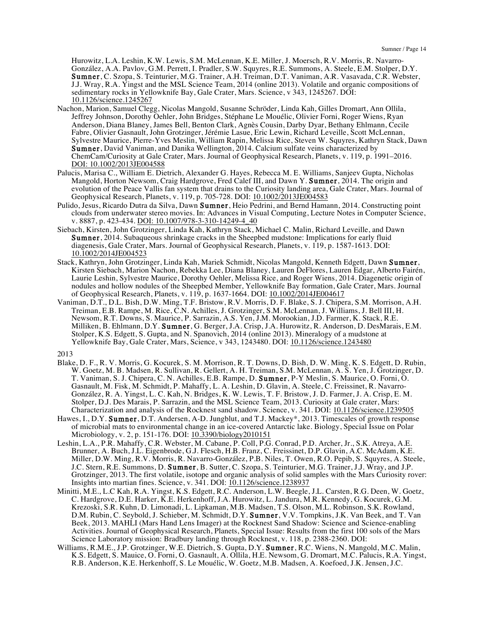Hurowitz, L.A. Leshin, K.W. Lewis, S.M. McLennan, K.E. Miller, J. Moersch, R.V. Morris, R. Navarro-González, A.A. Pavlov, G.M. Perrett, I. Pradler, S.W. Squyres, R.E. Summons, A. Steele, E.M. Stolper, D.Y. Sumner, C. Szopa, S. Teinturier, M.G. Trainer, A.H. Treiman, D.T. Vaniman, A.R. Vasavada, C.R. Webster, J.J. Wray, R.A. Yingst and the MSL Science Team, 2014 (online 2013). Volatile and organic compositions of sedimentary rocks in Yellowknife Bay, Gale Crater, Mars. Science, v 343, 1245267. DOI: 10.1126/science.1245267

- Nachon, Marion, Samuel Clegg, Nicolas Mangold, Susanne Schröder, Linda Kah, Gilles Dromart, Ann Ollila, Jeffrey Johnson, Dorothy Oehler, John Bridges, Stéphane Le Mouélic, Olivier Forni, Roger Wiens, Ryan Anderson, Diana Blaney, James Bell, Benton Clark, Agnès Cousin, Darby Dyar, Bethany Ehlmann, Cecile Fabre, Olivier Gasnault, John Grotzinger, Jérémie Lasue, Eric Lewin, Richard Leveille, Scott McLennan, Sylvestre Maurice, Pierre-Yves Meslin, William Rapin, Melissa Rice, Steven W. Squyres, Kathryn Stack, Dawn Sumner, David Vaniman, and Danika Wellington, 2014. Calcium sulfate veins characterized by ChemCam/Curiosity at Gale Crater, Mars. Journal of Geophysical Research, Planets, v. 119, p. 1991–2016. DOI: 10.1002/2013JE004588
- Palucis, Marisa C., William E. Dietrich, Alexander G. Hayes, Rebecca M. E. Williams, Sanjeev Gupta, Nicholas Mangold, Horton Newsom, Craig Hardgrove, Fred Calef III, and Dawn Y. **Sumner**, 2014. The origin and evolution of the Peace Vallis fan system that drains to the Curiosity landing area, Gale Crater, Mars. Journal of Geophysical Research, Planets, v. 119, p. 705-728. DOI: 10.1002/2013JE004583
- Pulido, Jesus, Ricardo Dutra da Silva, Dawn Sumner, Heio Pedrini, and Bernd Hamann, 2014. Constructing point clouds from underwater stereo movies. In: Advances in Visual Computing, Lecture Notes in Computer Science, v. 8887, p. 423-434. DOI: 10.1007/978-3-310-14249-4\_40
- Siebach, Kirsten, John Grotzinger, Linda Kah, Kathryn Stack, Michael C. Malin, Richard Leveille, and Dawn Sumner, 2014. Subaqueous shrinkage cracks in the Sheepbed mudstone: Implications for early fluid diagenesis, Gale Crater, Mars. Journal of Geophysical Research, Planets, v. 119, p. 1587-1613. DOI: 10.1002/2014JE004523
- Stack, Kathryn, John Grotzinger, Linda Kah, Mariek Schmidt, Nicolas Mangold, Kenneth Edgett, Dawn Sumner, Kirsten Siebach, Marion Nachon, Rebekka Lee, Diana Blaney, Lauren DeFlores, Lauren Edgar, Alberto Fairén, Laurie Leshin, Sylvestre Maurice, Dorothy Oehler, Melissa Rice, and Roger Wiens, 2014. Diagenetic origin of nodules and hollow nodules of the Sheepbed Member, Yellowknife Bay formation, Gale Crater, Mars. Journal of Geophysical Research, Planets, v. 119, p. 1637-1664. DOI: 10.1002/2014JE004617
- Vaniman, D.T., D.L. Bish, D.W. Ming, T.F. Bristow, R.V. Morris, D. F. Blake, S. J. Chipera, S.M. Morrison, A.H. Treiman, E.B. Rampe, M. Rice, C.N. Achilles, J. Grotzinger, S.M. McLennan, J. Williams, J. Bell III, H. Newsom, R.T. Downs, S. Maurice, P. Sarrazin, A.S. Yen, J.M. Morookian, J.D. Farmer, K. Stack, R.E. Milliken, B. Ehlmann, D.Y. Sumner, G. Berger, J.A. Crisp, J.A. Hurowitz, R. Anderson, D. DesMarais, E.M. Stolper, K.S. Edgett, S. Gupta, and N. Spanovich, 2014 (online 2013). Mineralogy of a mudstone at Yellowknife Bay, Gale Crater, Mars, Science, v 343, 1243480. DOI: 10.1126/science.1243480

- Blake, D. F., R. V. Morris, G. Kocurek, S. M. Morrison, R. T. Downs, D. Bish, D. W. Ming, K. S. Edgett, D. Rubin, W. Goetz, M. B. Madsen, R. Sullivan, R. Gellert, A. H. Treiman, S.M. McLennan, A. S. Yen, J. Grotzinger, D. T. Vaniman, S. J. Chipera, C. N. Achilles, E.B. Rampe, D. Sumner, P-Y Meslin, S. Maurice, O. Forni, O. Gasnault, M. Fisk, M. Schmidt, P. Mahaffy, L. A. Leshin, D. Glavin, A. Steele, C. Freissinet, R. Navarro-González, R. A. Yingst, L. C. Kah, N. Bridges, K. W. Lewis, T. F. Bristow, J. D. Farmer, J. A. Crisp, E. M. Stolper, D.J. Des Marais, P. Sarrazin, and the MSL Science Team, 2013. Curiosity at Gale crater, Mars: Characterization and analysis of the Rocknest sand shadow. Science, v. 341. DOI: 10.1126/science.1239505
- Hawes, I., D.Y. Sumner, D.T. Andersen, A-D. Jungblut, and T.J. Mackey\*, 2013. Timescales of growth response of microbial mats to environmental change in an ice-covered Antarctic lake. Biology, Special Issue on Polar Microbiology, v. 2, p. 151-176. DOI: 10.3390/biology2010151
- Leshin, L.A., P.R. Mahaffy, C.R. Webster, M. Cabane, P. Coll, P.G. Conrad, P.D. Archer, Jr., S.K. Atreya, A.E. Brunner, A. Buch, J.L. Eigenbrode, G.J. Flesch, H.B. Franz, C. Freissinet, D.P. Glavin, A.C. McAdam, K.E. Miller, D.W. Ming, R.V. Morris, R. Navarro-González, P.B. Niles, T. Owen, R.O. Pepib, S. Squyres, A. Steele, J.C. Stern, R.E. Summons, D. Sumner, B. Sutter, C. Szopa, S. Teinturier, M.G. Trainer, J.J. Wray, and J.P. Grotzinger, 2013. The first volatile, isotope and organic analysis of solid samples with the Mars Curiosity rover: Insights into martian fines. Science, v. 341. DOI: 10.1126/science.1238937
- Minitti, M.E., L.C Kah, R.A. Yingst, K.S. Edgett, R.C. Anderson, L.W. Beegle, J.L. Carsten, R.G. Deen, W. Goetz, C. Hardgrove, D.E. Harker, K.E. Herkenhoff, J.A. Hurowitz, L. Jandura, M.R. Kennedy, G. Kocurek, G.M. Krezoski, S.R. Kuhn, D. Limonadi, L. Lipkaman, M.B. Madsen, T.S. Olson, M.L. Robinson, S.K. Rowland, D.M. Rubin, C. Seybold, J. Schieber, M. Schmidt, D.Y. Sumner, V.V. Tompkins, J.K. Van Beek, and T. Van Beek, 2013. MAHLI (Mars Hand Lens Imager) at the Rocknest Sand Shadow: Science and Science-enabling Activities. Journal of Geophysical Research, Planets, Special Issue: Results from the first 100 sols of the Mars Science Laboratory mission: Bradbury landing through Rocknest, v. 118, p. 2388-2360. DOI:
- Williams, R.M.E., J.P. Grotzinger, W.E. Dietrich, S. Gupta, D.Y. Sumner, R.C. Wiens, N. Mangold, M.C. Malin, K.S. Edgett, S. Mauice, O. Forni, O. Gasnault, A. Ollila, H.E. Newsom, G. Dromart, M.C. Palucis, R.A. Yingst, R.B. Anderson, K.E. Herkenhoff, S. Le Mouélic, W. Goetz, M.B. Madsen, A. Koefoed, J.K. Jensen, J.C.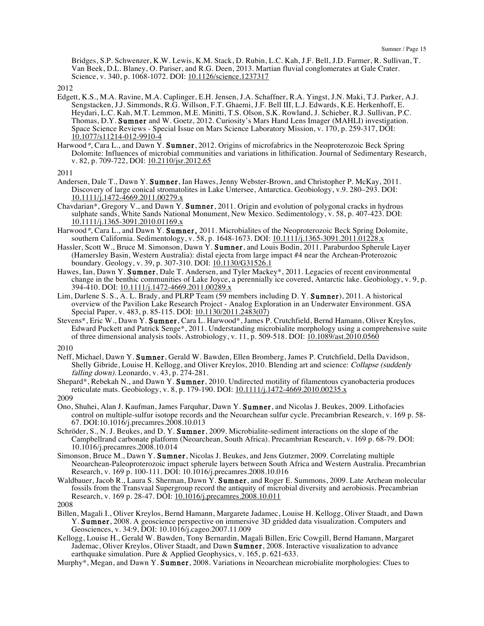Bridges, S.P. Schwenzer, K.W. Lewis, K.M. Stack, D. Rubin, L.C. Kah, J.F. Bell, J.D. Farmer, R. Sullivan, T. Van Beek, D.L. Blaney, O. Pariser, and R.G. Deen, 2013. Martian fluvial conglomerates at Gale Crater. Science, v. 340, p. 1068-1072. DOI: 10.1126/science.1237317

2012

- Edgett, K.S., M.A. Ravine, M.A. Caplinger, E.H. Jensen, J.A. Schaffner, R.A. Yingst, J.N. Maki, T.J. Parker, A.J. Sengstacken, J.J. Simmonds, R.G. Willson, F.T. Ghaemi, J.F. Bell III, L.J. Edwards, K.E. Herkenhoff, E. Heydari, L.C. Kah, M.T. Lemmon, M.E. Minitti, T.S. Olson, S.K. Rowland, J. Schieber, R.J. Sullivan, P.C. Thomas, D.Y. Sumner and W. Goetz, 2012. Curiosity's Mars Hand Lens Imager (MAHLI) investigation. Space Science Reviews - Special Issue on Mars Science Laboratory Mission, v. 170, p. 259-317, DOI: 10.1077/s11214-012-9910-4
- Harwood\*, Cara L., and Dawn Y. Sumner, 2012. Origins of microfabrics in the Neoproterozoic Beck Spring Dolomite: Influences of microbial communities and variations in lithification. Journal of Sedimentary Research, v. 82, p. 709-722, DOI: 10.2110/jsr.2012.65

2011

- Andersen, Dale T., Dawn Y. Sumner, Ian Hawes, Jenny Webster-Brown, and Christopher P. McKay, 2011. Discovery of large conical stromatolites in Lake Untersee, Antarctica. Geobiology, v.9. 280–293. DOI: 10.1111/j.1472-4669.2011.00279.x
- Chavdarian\*, Gregory V., and Dawn Y. Sumner, 2011. Origin and evolution of polygonal cracks in hydrous sulphate sands, White Sands National Monument, New Mexico. Sedimentology, v. 58, p. 407-423. DOI: 10.1111/j.1365-3091.2010.01169.x
- Harwood\*, Cara L., and Dawn Y. Sumner, 2011. Microbialites of the Neoproterozoic Beck Spring Dolomite, southern California. Sedimentology, v. 58, p. 1648-1673. DOI: 10.1111/j.1365-3091.2011.01228.x
- Hassler, Scott W., Bruce M. Simonson, Dawn Y. Sumner, and Louis Bodin, 2011. Paraburdoo Spherule Layer (Hamersley Basin, Western Australia): distal ejecta from large impact #4 near the Archean-Proterozoic boundary. Geology, v. 39, p. 307-310. DOI: 10.1130/G31526.1
- Hawes, Ian, Dawn Y. Sumner, Dale T. Andersen, and Tyler Mackey\*, 2011. Legacies of recent environmental change in the benthic communities of Lake Joyce, a perennially ice covered, Antarctic lake. Geobiology, v. 9, p. 394-410. DOI: 10.1111/j.1472-4669.2011.00289.x
- Lim, Darlene S. S., A. L. Brady, and PLRP Team (59 members including D. Y. Sumner), 2011. A historical overview of the Pavilion Lake Research Project - Analog Exploration in an Underwater Environment. GSA Special Paper, v. 483, p. 85-115. DOI: 10.1130/2011.2483(07)
- Stevens\*, Eric W., Dawn Y. Sumner, Cara L. Harwood\*, James P. Crutchfield, Bernd Hamann, Oliver Kreylos, Edward Puckett and Patrick Senge\*, 2011. Understanding microbialite morphology using a comprehensive suite of three dimensional analysis tools. Astrobiology, v. 11, p. 509-518. DOI: 10.1089/ast.2010.0560

2010

Neff, Michael, Dawn Y. Sumner, Gerald W. Bawden, Ellen Bromberg, James P. Crutchfield, Della Davidson, Shelly Gibride, Louise H. Kellogg, and Oliver Kreylos, 2010. Blending art and science: Collapse (suddenly falling down). Leonardo, v. 43, p. 274-281.

Shepard\*, Rebekah N., and Dawn Y. **Sumner**, 2010. Undirected motility of filamentous cyanobacteria produces reticulate mats. Geobiology, v. 8, p. 179-190. DOI: 10.1111/j.1472-4669.2010.00235.x

2009

- Ono, Shuhei, Alan J. Kaufman, James Farquhar, Dawn Y. Sumner, and Nicolas J. Beukes, 2009. Lithofacies control on multiple-sulfur isotope records and the Neoarchean sulfur cycle. Precambrian Research, v. 169 p. 58- 67. DOI:10.1016/j.precamres.2008.10.013
- Schröder, S., N. J. Beukes, and D. Y. **Sumner**, 2009. Microbialite-sediment interactions on the slope of the Campbellrand carbonate platform (Neoarchean, South Africa). Precambrian Research, v. 169 p. 68-79. DOI: 10.1016/j.precamres.2008.10.014
- Simonson, Bruce M., Dawn Y. Sumner, Nicolas J. Beukes, and Jens Gutzmer, 2009. Correlating multiple Neoarchean-Paleoproterozoic impact spherule layers between South Africa and Western Australia. Precambrian Research, v. 169 p. 100-111. DOI: 10.1016/j.precamres.2008.10.016
- Waldbauer, Jacob R., Laura S. Sherman, Dawn Y. Sumner, and Roger E. Summons, 2009. Late Archean molecular fossils from the Transvaal Supergroup record the antiquity of microbial diversity and aerobiosis. Precambrian Research, v. 169 p. 28-47. DOI: 10.1016/j.precamres.2008.10.011

- Billen, Magali I., Oliver Kreylos, Bernd Hamann, Margarete Jadamec, Louise H. Kellogg, Oliver Staadt, and Dawn Y. Sumner, 2008. A geoscience perspective on immersive 3D gridded data visualization. Computers and Geosciences, v. 34:9, DOI: 10.1016/j.cageo.2007.11.009
- Kellogg, Louise H., Gerald W. Bawden, Tony Bernardin, Magali Billen, Eric Cowgill, Bernd Hamann, Margaret Jademac, Oliver Kreylos, Oliver Staadt, and Dawn Sumner, 2008. Interactive visualization to advance earthquake simulation. Pure & Applied Geophysics, v. 165, p. 621-633.
- Murphy\*, Megan, and Dawn Y. Sumner, 2008. Variations in Neoarchean microbialite morphologies: Clues to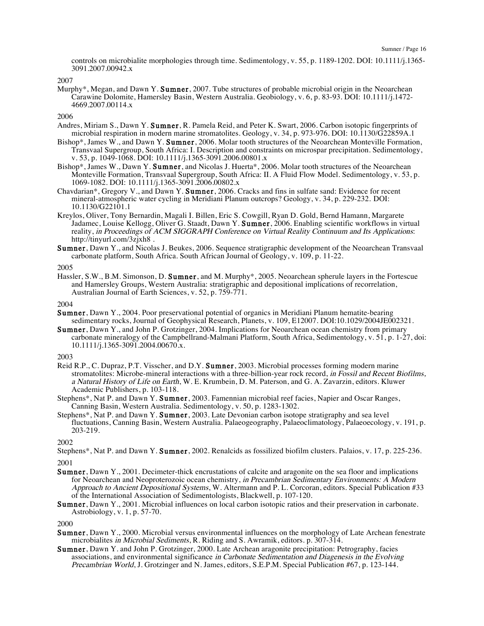controls on microbialite morphologies through time. Sedimentology, v. 55, p. 1189-1202. DOI: 10.1111/j.1365- 3091.2007.00942.x

2007

Murphy\*, Megan, and Dawn Y. **Sumner**, 2007. Tube structures of probable microbial origin in the Neoarchean Carawine Dolomite, Hamersley Basin, Western Australia. Geobiology, v. 6, p. 83-93. DOI: 10.1111/j.1472- 4669.2007.00114.x

2006

- Andres, Miriam S., Dawn Y. Sumner, R. Pamela Reid, and Peter K. Swart, 2006. Carbon isotopic fingerprints of microbial respiration in modern marine stromatolites. Geology, v. 34, p. 973-976. DOI: 10.1130/G22859A.1
- Bishop\*, James W., and Dawn Y. Sumner, 2006. Molar tooth structures of the Neoarchean Monteville Formation, Transvaal Supergroup, South Africa: I. Description and constraints on microspar precipitation. Sedimentology, v. 53, p. 1049-1068. DOI: 10.1111/j.1365-3091.2006.00801.x
- Bishop\*, James W., Dawn Y. Sumner, and Nicolas J. Huerta\*, 2006. Molar tooth structures of the Neoarchean Monteville Formation, Transvaal Supergroup, South Africa: II. A Fluid Flow Model. Sedimentology, v. 53, p. 1069-1082. DOI: 10.1111/j.1365-3091.2006.00802.x
- Chavdarian\*, Gregory V., and Dawn Y. Sumner, 2006. Cracks and fins in sulfate sand: Evidence for recent mineral-atmospheric water cycling in Meridiani Planum outcrops? Geology, v. 34, p. 229-232. DOI: 10.1130/G22101.1
- Kreylos, Oliver, Tony Bernardin, Magali I. Billen, Eric S. Cowgill, Ryan D. Gold, Bernd Hamann, Margarete Jadamec, Louise Kellogg, Oliver G. Staadt, Dawn Y. Sumner, 2006. Enabling scientific workflows in virtual reality, in Proceedings of ACM SIGGRAPH Conference on Virtual Reality Continuum and Its Applications: http://tinyurl.com/3zjxh8 .
- Sumner, Dawn Y., and Nicolas J. Beukes, 2006. Sequence stratigraphic development of the Neoarchean Transvaal carbonate platform, South Africa. South African Journal of Geology, v. 109, p. 11-22.

2005

Hassler, S.W., B.M. Simonson, D. Sumner, and M. Murphy\*, 2005. Neoarchean spherule layers in the Fortescue and Hamersley Groups, Western Australia: stratigraphic and depositional implications of recorrelation, Australian Journal of Earth Sciences, v. 52, p. 759-771.

2004

- Sumner, Dawn Y., 2004. Poor preservational potential of organics in Meridiani Planum hematite-bearing sedimentary rocks, Journal of Geophysical Research, Planets, v. 109, E12007. DOI:10.1029/2004JE002321.
- Sumner, Dawn Y., and John P. Grotzinger, 2004. Implications for Neoarchean ocean chemistry from primary carbonate mineralogy of the Campbellrand-Malmani Platform, South Africa, Sedimentology, v. 51, p. 1-27, doi: 10.1111/j.1365-3091.2004.00670.x.

#### 2003

- Reid R.P., C. Dupraz, P.T. Visscher, and D.Y. Sumner, 2003. Microbial processes forming modern marine stromatolites: Microbe-mineral interactions with a three-billion-year rock record, in Fossil and Recent Biofilms, <sup>a</sup> Natural History of Life on Earth, W. E. Krumbein, D. M. Paterson, and G. A. Zavarzin, editors. Kluwer Academic Publishers, p. 103-118.
- Stephens\*, Nat P. and Dawn Y. Sumner, 2003. Famennian microbial reef facies, Napier and Oscar Ranges, Canning Basin, Western Australia. Sedimentology, v. 50, p. 1283-1302.
- Stephens\*, Nat P. and Dawn Y. Sumner, 2003. Late Devonian carbon isotope stratigraphy and sea level fluctuations, Canning Basin, Western Australia. Palaeogeography, Palaeoclimatology, Palaeoecology, v. 191, p. 203-219.

2002

- Stephens\*, Nat P. and Dawn Y. Sumner, 2002. Renalcids as fossilized biofilm clusters. Palaios, v. 17, p. 225-236. 2001
- Sumner, Dawn Y., 2001. Decimeter-thick encrustations of calcite and aragonite on the sea floor and implications for Neoarchean and Neoproterozoic ocean chemistry, in Precambrian Sedimentary Environments: <sup>A</sup> Modern Approach to Ancient Depositional Systems, W. Altermann and P. L. Corcoran, editors. Special Publication #33 of the International Association of Sedimentologists, Blackwell, p. 107-120.
- Sumner, Dawn Y., 2001. Microbial influences on local carbon isotopic ratios and their preservation in carbonate. Astrobiology, v. 1, p. 57-70.

- Sumner, Dawn Y., 2000. Microbial versus environmental influences on the morphology of Late Archean fenestrate microbialites in Microbial Sediments, R. Riding and S. Awramik, editors. p. 307-314.
- Sumner, Dawn Y. and John P. Grotzinger, 2000. Late Archean aragonite precipitation: Petrography, facies associations, and environmental significance in Carbonate Sedimentation and Diagenesis in the Evolving Precambrian World, J. Grotzinger and N. James, editors, S.E.P.M. Special Publication #67, p. 123-144.